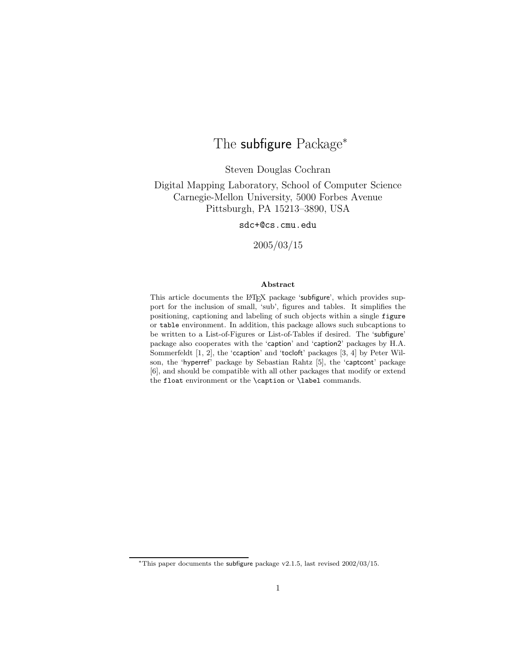# The subfigure Package<sup>\*</sup>

Steven Douglas Cochran

Digital Mapping Laboratory, School of Computer Science Carnegie-Mellon University, 5000 Forbes Avenue Pittsburgh, PA 15213–3890, USA

sdc+@cs.cmu.edu

2005/03/15

#### Abstract

This article documents the LAT<sub>EX</sub> package 'subfigure', which provides support for the inclusion of small, 'sub', figures and tables. It simplifies the positioning, captioning and labeling of such objects within a single figure or table environment. In addition, this package allows such subcaptions to be written to a List-of-Figures or List-of-Tables if desired. The 'subfigure' package also cooperates with the 'caption' and 'caption2' packages by H.A. Sommerfeldt [1, 2], the 'ccaption' and 'tocloft' packages [3, 4] by Peter Wilson, the 'hyperref' package by Sebastian Rahtz [5], the 'captcont' package [6], and should be compatible with all other packages that modify or extend the float environment or the \caption or \label commands.

<sup>∗</sup>This paper documents the subfigure package v2.1.5, last revised 2002/03/15.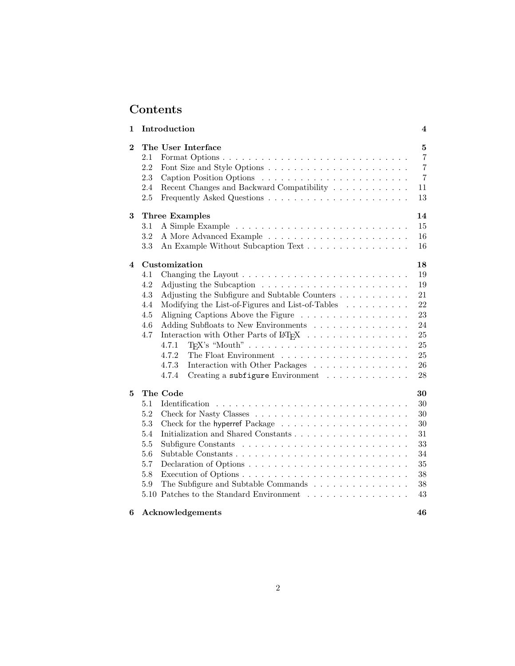# Contents

| 1              | Introduction                                                                                                                                                                                                                                                                                                                                                                                                                                                                                                                                                                           | 4                                                                        |
|----------------|----------------------------------------------------------------------------------------------------------------------------------------------------------------------------------------------------------------------------------------------------------------------------------------------------------------------------------------------------------------------------------------------------------------------------------------------------------------------------------------------------------------------------------------------------------------------------------------|--------------------------------------------------------------------------|
| $\bf{2}$       | The User Interface<br>2.1<br>2.2<br>2.3<br>2.4<br>Recent Changes and Backward Compatibility<br>2.5                                                                                                                                                                                                                                                                                                                                                                                                                                                                                     | 5<br>$\overline{7}$<br>$\overline{7}$<br>$\overline{7}$<br>11<br>13      |
| 3              | <b>Three Examples</b><br>$3.1\,$<br>3.2<br>3.3<br>An Example Without Subcaption Text                                                                                                                                                                                                                                                                                                                                                                                                                                                                                                   | 14<br>15<br>16<br>16                                                     |
| $\overline{4}$ | Customization<br>4.1<br>4.2<br>Adjusting the Subfigure and Subtable Counters<br>4.3<br>Modifying the List-of-Figures and List-of-Tables<br>4.4<br>4.5<br>Aligning Captions Above the Figure<br>4.6<br>Adding Subfloats to New Environments<br>4.7<br>Interaction with Other Parts of $\mathbb{M}\mathrm{E}\mathrm{X}$<br>4.7.1<br>4.7.2<br>The Float Environment $\ldots \ldots \ldots \ldots \ldots \ldots \ldots$<br>4.7.3<br>Interaction with Other Packages<br>$\text{Creating a subfigure Environment} \quad \ldots \quad \ldots \quad \ldots \quad \ldots \quad \ldots$<br>4.7.4 | 18<br>19<br>19<br>21<br>$22\,$<br>23<br>24<br>25<br>25<br>25<br>26<br>28 |
| 5              | The Code<br>5.1<br>5.2<br>5.3<br>5.4<br>5.5<br>5.6<br>5.7<br>5.8<br>5.9<br>The Subfigure and Subtable Commands<br>5.10 Patches to the Standard Environment $\ldots \ldots \ldots \ldots \ldots$                                                                                                                                                                                                                                                                                                                                                                                        | 30<br>30<br>30<br>$30\,$<br>31<br>33<br>34<br>35<br>38<br>38<br>43       |
| 6              | Acknowledgements                                                                                                                                                                                                                                                                                                                                                                                                                                                                                                                                                                       | 46                                                                       |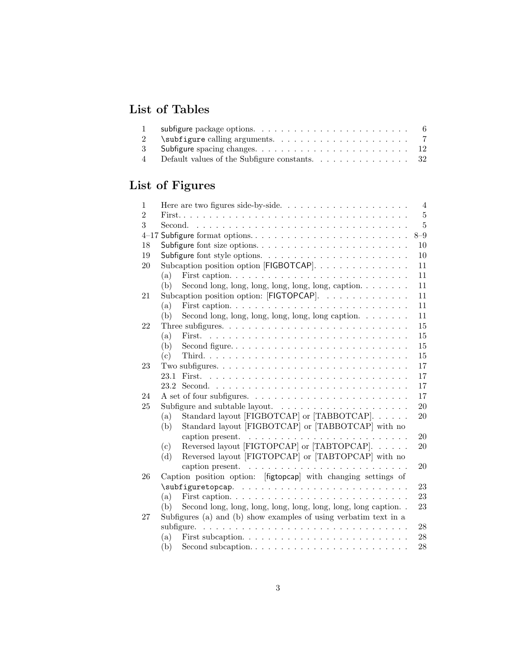# List of Tables

| 2              | $\simeq$ $\simeq$ $\simeq$ $\simeq$ $\simeq$ $\simeq$ $\simeq$ $\simeq$ $\simeq$ $\simeq$ $\simeq$ $\simeq$ $\simeq$ $\simeq$ $\simeq$ $\simeq$ $\simeq$ $\simeq$ $\simeq$ $\simeq$ $\simeq$ $\simeq$ $\simeq$ $\simeq$ $\simeq$ $\simeq$ $\simeq$ $\simeq$ $\simeq$ $\simeq$ $\simeq$ $\sime$ |  |
|----------------|------------------------------------------------------------------------------------------------------------------------------------------------------------------------------------------------------------------------------------------------------------------------------------------------|--|
|                |                                                                                                                                                                                                                                                                                                |  |
| $\overline{4}$ | Default values of the Subfigure constants. $\ldots \ldots \ldots \ldots 32$                                                                                                                                                                                                                    |  |

# List of Figures

|                                                                                   | $\overline{4}$                                                                                                                                                                                                                                                                                                                                                                                                                                                                                                      |
|-----------------------------------------------------------------------------------|---------------------------------------------------------------------------------------------------------------------------------------------------------------------------------------------------------------------------------------------------------------------------------------------------------------------------------------------------------------------------------------------------------------------------------------------------------------------------------------------------------------------|
|                                                                                   | $\overline{5}$                                                                                                                                                                                                                                                                                                                                                                                                                                                                                                      |
|                                                                                   | $\overline{5}$                                                                                                                                                                                                                                                                                                                                                                                                                                                                                                      |
|                                                                                   | $8 - 9$                                                                                                                                                                                                                                                                                                                                                                                                                                                                                                             |
|                                                                                   | 10                                                                                                                                                                                                                                                                                                                                                                                                                                                                                                                  |
|                                                                                   | 10                                                                                                                                                                                                                                                                                                                                                                                                                                                                                                                  |
|                                                                                   | 11                                                                                                                                                                                                                                                                                                                                                                                                                                                                                                                  |
| (a)                                                                               | 11                                                                                                                                                                                                                                                                                                                                                                                                                                                                                                                  |
| (b)                                                                               | 11                                                                                                                                                                                                                                                                                                                                                                                                                                                                                                                  |
|                                                                                   | 11                                                                                                                                                                                                                                                                                                                                                                                                                                                                                                                  |
| (a)                                                                               | 11                                                                                                                                                                                                                                                                                                                                                                                                                                                                                                                  |
| (b)                                                                               | 11                                                                                                                                                                                                                                                                                                                                                                                                                                                                                                                  |
|                                                                                   | 15                                                                                                                                                                                                                                                                                                                                                                                                                                                                                                                  |
| (a)                                                                               | 15                                                                                                                                                                                                                                                                                                                                                                                                                                                                                                                  |
| (b)                                                                               | 15                                                                                                                                                                                                                                                                                                                                                                                                                                                                                                                  |
| (c)                                                                               | 15                                                                                                                                                                                                                                                                                                                                                                                                                                                                                                                  |
|                                                                                   | 17                                                                                                                                                                                                                                                                                                                                                                                                                                                                                                                  |
| 23.1                                                                              | 17                                                                                                                                                                                                                                                                                                                                                                                                                                                                                                                  |
| 23.2                                                                              | 17                                                                                                                                                                                                                                                                                                                                                                                                                                                                                                                  |
|                                                                                   | 17                                                                                                                                                                                                                                                                                                                                                                                                                                                                                                                  |
|                                                                                   | $20\,$                                                                                                                                                                                                                                                                                                                                                                                                                                                                                                              |
| (a)                                                                               | 20                                                                                                                                                                                                                                                                                                                                                                                                                                                                                                                  |
| (b)                                                                               |                                                                                                                                                                                                                                                                                                                                                                                                                                                                                                                     |
| caption present. $\ldots \ldots \ldots \ldots \ldots \ldots \ldots \ldots \ldots$ | 20                                                                                                                                                                                                                                                                                                                                                                                                                                                                                                                  |
| (c)                                                                               | 20                                                                                                                                                                                                                                                                                                                                                                                                                                                                                                                  |
| (d)                                                                               |                                                                                                                                                                                                                                                                                                                                                                                                                                                                                                                     |
| caption present. $\ldots \ldots \ldots \ldots \ldots \ldots \ldots \ldots$        | 20                                                                                                                                                                                                                                                                                                                                                                                                                                                                                                                  |
| Caption position option: [figtopcap] with changing settings of                    |                                                                                                                                                                                                                                                                                                                                                                                                                                                                                                                     |
|                                                                                   | 23                                                                                                                                                                                                                                                                                                                                                                                                                                                                                                                  |
| (a)                                                                               | 23                                                                                                                                                                                                                                                                                                                                                                                                                                                                                                                  |
| Second long, long, long, long, long, long, long, long caption<br>(b)              | 23                                                                                                                                                                                                                                                                                                                                                                                                                                                                                                                  |
| Subfigures (a) and (b) show examples of using verbatim text in a                  |                                                                                                                                                                                                                                                                                                                                                                                                                                                                                                                     |
|                                                                                   | $\sqrt{28}$                                                                                                                                                                                                                                                                                                                                                                                                                                                                                                         |
| (a)                                                                               | 28                                                                                                                                                                                                                                                                                                                                                                                                                                                                                                                  |
|                                                                                   | 28                                                                                                                                                                                                                                                                                                                                                                                                                                                                                                                  |
|                                                                                   | Subcaption position option [FIGBOTCAP].<br>Second long, long, long, long, long, caption. $\ldots \ldots$<br>Subcaption position option: [FIGTOPCAP].<br>Second long, long, long, long, long caption. $\ldots \ldots$<br>Subfigure and subtable layout. $\ldots \ldots \ldots \ldots \ldots \ldots$<br>Standard layout [FIGBOTCAP] or [TABBOTCAP].<br>Standard layout [FIGBOTCAP] or [TABBOTCAP] with no<br>Reversed layout [FIGTOPCAP] or [TABTOPCAP].<br>Reversed layout [FIGTOPCAP] or [TABTOPCAP] with no<br>(b) |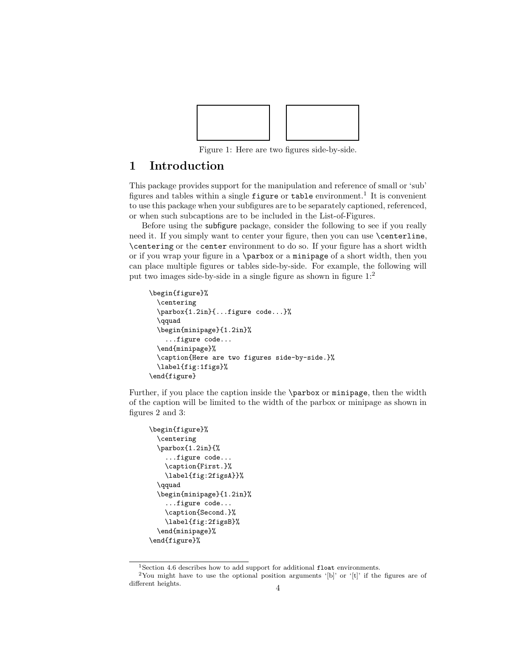

Figure 1: Here are two figures side-by-side.

# 1 Introduction

This package provides support for the manipulation and reference of small or 'sub' figures and tables within a single  $figure$  or table environment.<sup>1</sup> It is convenient to use this package when your subfigures are to be separately captioned, referenced, or when such subcaptions are to be included in the List-of-Figures.

Before using the subfigure package, consider the following to see if you really need it. If you simply want to center your figure, then you can use \centerline, \centering or the center environment to do so. If your figure has a short width or if you wrap your figure in a \parbox or a minipage of a short width, then you can place multiple figures or tables side-by-side. For example, the following will put two images side-by-side in a single figure as shown in figure 1:<sup>2</sup>

```
\begin{figure}%
 \centering
 \parbox{1.2in}{...figure code...}%
  \qquad
 \begin{minipage}{1.2in}%
    ...figure code...
 \end{minipage}%
 \caption{Here are two figures side-by-side.}%
 \label{fig:1figs}%
\end{figure}
```
Further, if you place the caption inside the \parbox or minipage, then the width of the caption will be limited to the width of the parbox or minipage as shown in figures 2 and 3:

```
\begin{figure}%
  \centering
  \parbox{1.2in}{%
    ...figure code...
    \caption{First.}%
    \label{fig:2figsA}}%
  \qquad
  \begin{minipage}{1.2in}%
    ...figure code...
    \caption{Second.}%
    \label{fig:2figsB}%
  \end{minipage}%
\end{figure}%
```
 $^1\rm{Section}$  4.6 describes how to add support for additional  $\verb|float environments|.$ 

<sup>&</sup>lt;sup>2</sup>You might have to use the optional position arguments '[b]' or '[t]' if the figures are of different heights.  $4\,$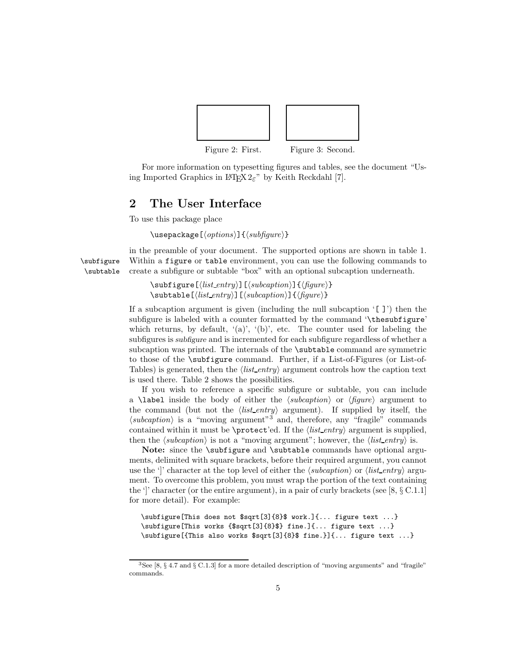

For more information on typesetting figures and tables, see the document "Using Imported Graphics in  $\mathbb{P}\mathbb{F} \times 2\varepsilon$ " by Keith Reckdahl [7].

### 2 The User Interface

To use this package place

 $\text{base}$ [ $\{options\}$ ] $\{\langle subfigure \rangle\}$ 

in the preamble of your document. The supported options are shown in table 1. \subfigure Within a figure or table environment, you can use the following commands to \subtable create a subfigure or subtable "box" with an optional subcaption underneath.

> $\simeq[\langle list\_entry \rangle][\langle subcaption \rangle][\langle figure \rangle]$  $\sub{}% \left( \frac{n}{2} \right)$  \subtable  $[\left\langle list\_entry \right\rangle]$   $[\left\langle subcaption \right\rangle]$  { $\left\langle figure \right\rangle]$ }

If a subcaption argument is given (including the null subcaption '[ ]') then the subfigure is labeled with a counter formatted by the command '\thesubfigure' which returns, by default,  $'(a)$ ,  $'(b)$ , etc. The counter used for labeling the subfigures is subfigure and is incremented for each subfigure regardless of whether a subcaption was printed. The internals of the \subtable command are symmetric to those of the \subfigure command. Further, if a List-of-Figures (or List-of-Tables) is generated, then the  $\langle list\_entry \rangle$  argument controls how the caption text is used there. Table 2 shows the possibilities.

If you wish to reference a specific subfigure or subtable, you can include a **\label** inside the body of either the  $\langle subcaption\rangle$  or  $\langle figure\rangle$  argument to the command (but not the  $\langle list\_entry \rangle$  argument). If supplied by itself, the  $\langle subcaption \rangle$  is a "moving argument"<sup>3</sup> and, therefore, any "fragile" commands contained within it must be \protect'ed. If the  $\langle$ *list\_entry* $\rangle$  argument is supplied, then the  $\langle subcaption \rangle$  is not a "moving argument"; however, the  $\langle list\_entry \rangle$  is.

Note: since the \subfigure and \subtable commands have optional arguments, delimited with square brackets, before their required argument, you cannot use the '|' character at the top level of either the  $\langle subcaption \rangle$  or  $\langle list_{entry} \rangle$  argument. To overcome this problem, you must wrap the portion of the text containing the ']' character (or the entire argument), in a pair of curly brackets (see [8,  $\S \mathcal{C}.1.1$ ] for more detail). For example:

```
\subfigure[This does not $sqrt[3]{8}$ work.]{... figure text ...}
\subfigure[This works {$sqrt[3]{8}$} fine.]{... figure text ...}
\subfigure[{This also works $sqrt[3]{8}$ fine.}]{... figure text ...}
```
 ${}^{3}$ See [8, § 4.7 and § C.1.3] for a more detailed description of "moving arguments" and "fragile" commands.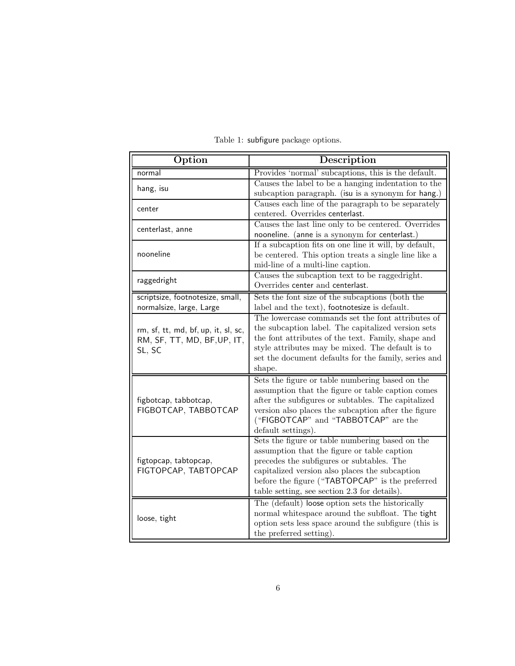| Provides 'normal' subcaptions, this is the default.<br>normal<br>Causes the label to be a hanging indentation to the<br>hang, isu<br>subcaption paragraph. (isu is a synonym for hang.)<br>Causes each line of the paragraph to be separately<br>center<br>centered. Overrides centerlast.<br>Causes the last line only to be centered. Overrides<br>centerlast, anne<br>nooneline. (anne is a synonym for centerlast.)<br>If a subcaption fits on one line it will, by default,<br>nooneline<br>be centered. This option treats a single line like a<br>mid-line of a multi-line caption.<br>Causes the subcaption text to be raggedright.<br>raggedright<br>Overrides center and centerlast.<br>Sets the font size of the subcaptions (both the<br>scriptsize, footnotesize, small,<br>label and the text), footnotesize is default.<br>normalsize, large, Large<br>The lowercase commands set the font attributes of<br>the subcaption label. The capitalized version sets<br>rm, sf, tt, md, bf, up, it, sl, sc,<br>the font attributes of the text. Family, shape and<br>RM, SF, TT, MD, BF, UP, IT,<br>style attributes may be mixed. The default is to<br>SL, SC<br>set the document defaults for the family, series and<br>shape.<br>Sets the figure or table numbering based on the<br>assumption that the figure or table caption comes<br>after the subfigures or subtables. The capitalized<br>figbotcap, tabbotcap,<br>FIGBOTCAP, TABBOTCAP<br>version also places the subcaption after the figure<br>("FIGBOTCAP" and "TABBOTCAP" are the<br>default settings).<br>Sets the figure or table numbering based on the<br>assumption that the figure or table caption<br>figtopcap, tabtopcap,<br>precedes the subfigures or subtables. The<br>FIGTOPCAP, TABTOPCAP<br>capitalized version also places the subcaption | Option | Description |
|---------------------------------------------------------------------------------------------------------------------------------------------------------------------------------------------------------------------------------------------------------------------------------------------------------------------------------------------------------------------------------------------------------------------------------------------------------------------------------------------------------------------------------------------------------------------------------------------------------------------------------------------------------------------------------------------------------------------------------------------------------------------------------------------------------------------------------------------------------------------------------------------------------------------------------------------------------------------------------------------------------------------------------------------------------------------------------------------------------------------------------------------------------------------------------------------------------------------------------------------------------------------------------------------------------------------------------------------------------------------------------------------------------------------------------------------------------------------------------------------------------------------------------------------------------------------------------------------------------------------------------------------------------------------------------------------------------------------------------------------------------------------------------------------------------------------------------|--------|-------------|
|                                                                                                                                                                                                                                                                                                                                                                                                                                                                                                                                                                                                                                                                                                                                                                                                                                                                                                                                                                                                                                                                                                                                                                                                                                                                                                                                                                                                                                                                                                                                                                                                                                                                                                                                                                                                                                 |        |             |
|                                                                                                                                                                                                                                                                                                                                                                                                                                                                                                                                                                                                                                                                                                                                                                                                                                                                                                                                                                                                                                                                                                                                                                                                                                                                                                                                                                                                                                                                                                                                                                                                                                                                                                                                                                                                                                 |        |             |
|                                                                                                                                                                                                                                                                                                                                                                                                                                                                                                                                                                                                                                                                                                                                                                                                                                                                                                                                                                                                                                                                                                                                                                                                                                                                                                                                                                                                                                                                                                                                                                                                                                                                                                                                                                                                                                 |        |             |
|                                                                                                                                                                                                                                                                                                                                                                                                                                                                                                                                                                                                                                                                                                                                                                                                                                                                                                                                                                                                                                                                                                                                                                                                                                                                                                                                                                                                                                                                                                                                                                                                                                                                                                                                                                                                                                 |        |             |
|                                                                                                                                                                                                                                                                                                                                                                                                                                                                                                                                                                                                                                                                                                                                                                                                                                                                                                                                                                                                                                                                                                                                                                                                                                                                                                                                                                                                                                                                                                                                                                                                                                                                                                                                                                                                                                 |        |             |
|                                                                                                                                                                                                                                                                                                                                                                                                                                                                                                                                                                                                                                                                                                                                                                                                                                                                                                                                                                                                                                                                                                                                                                                                                                                                                                                                                                                                                                                                                                                                                                                                                                                                                                                                                                                                                                 |        |             |
|                                                                                                                                                                                                                                                                                                                                                                                                                                                                                                                                                                                                                                                                                                                                                                                                                                                                                                                                                                                                                                                                                                                                                                                                                                                                                                                                                                                                                                                                                                                                                                                                                                                                                                                                                                                                                                 |        |             |
|                                                                                                                                                                                                                                                                                                                                                                                                                                                                                                                                                                                                                                                                                                                                                                                                                                                                                                                                                                                                                                                                                                                                                                                                                                                                                                                                                                                                                                                                                                                                                                                                                                                                                                                                                                                                                                 |        |             |
|                                                                                                                                                                                                                                                                                                                                                                                                                                                                                                                                                                                                                                                                                                                                                                                                                                                                                                                                                                                                                                                                                                                                                                                                                                                                                                                                                                                                                                                                                                                                                                                                                                                                                                                                                                                                                                 |        |             |
|                                                                                                                                                                                                                                                                                                                                                                                                                                                                                                                                                                                                                                                                                                                                                                                                                                                                                                                                                                                                                                                                                                                                                                                                                                                                                                                                                                                                                                                                                                                                                                                                                                                                                                                                                                                                                                 |        |             |
|                                                                                                                                                                                                                                                                                                                                                                                                                                                                                                                                                                                                                                                                                                                                                                                                                                                                                                                                                                                                                                                                                                                                                                                                                                                                                                                                                                                                                                                                                                                                                                                                                                                                                                                                                                                                                                 |        |             |
|                                                                                                                                                                                                                                                                                                                                                                                                                                                                                                                                                                                                                                                                                                                                                                                                                                                                                                                                                                                                                                                                                                                                                                                                                                                                                                                                                                                                                                                                                                                                                                                                                                                                                                                                                                                                                                 |        |             |
|                                                                                                                                                                                                                                                                                                                                                                                                                                                                                                                                                                                                                                                                                                                                                                                                                                                                                                                                                                                                                                                                                                                                                                                                                                                                                                                                                                                                                                                                                                                                                                                                                                                                                                                                                                                                                                 |        |             |
|                                                                                                                                                                                                                                                                                                                                                                                                                                                                                                                                                                                                                                                                                                                                                                                                                                                                                                                                                                                                                                                                                                                                                                                                                                                                                                                                                                                                                                                                                                                                                                                                                                                                                                                                                                                                                                 |        |             |
|                                                                                                                                                                                                                                                                                                                                                                                                                                                                                                                                                                                                                                                                                                                                                                                                                                                                                                                                                                                                                                                                                                                                                                                                                                                                                                                                                                                                                                                                                                                                                                                                                                                                                                                                                                                                                                 |        |             |
|                                                                                                                                                                                                                                                                                                                                                                                                                                                                                                                                                                                                                                                                                                                                                                                                                                                                                                                                                                                                                                                                                                                                                                                                                                                                                                                                                                                                                                                                                                                                                                                                                                                                                                                                                                                                                                 |        |             |
|                                                                                                                                                                                                                                                                                                                                                                                                                                                                                                                                                                                                                                                                                                                                                                                                                                                                                                                                                                                                                                                                                                                                                                                                                                                                                                                                                                                                                                                                                                                                                                                                                                                                                                                                                                                                                                 |        |             |
|                                                                                                                                                                                                                                                                                                                                                                                                                                                                                                                                                                                                                                                                                                                                                                                                                                                                                                                                                                                                                                                                                                                                                                                                                                                                                                                                                                                                                                                                                                                                                                                                                                                                                                                                                                                                                                 |        |             |
|                                                                                                                                                                                                                                                                                                                                                                                                                                                                                                                                                                                                                                                                                                                                                                                                                                                                                                                                                                                                                                                                                                                                                                                                                                                                                                                                                                                                                                                                                                                                                                                                                                                                                                                                                                                                                                 |        |             |
|                                                                                                                                                                                                                                                                                                                                                                                                                                                                                                                                                                                                                                                                                                                                                                                                                                                                                                                                                                                                                                                                                                                                                                                                                                                                                                                                                                                                                                                                                                                                                                                                                                                                                                                                                                                                                                 |        |             |
|                                                                                                                                                                                                                                                                                                                                                                                                                                                                                                                                                                                                                                                                                                                                                                                                                                                                                                                                                                                                                                                                                                                                                                                                                                                                                                                                                                                                                                                                                                                                                                                                                                                                                                                                                                                                                                 |        |             |
|                                                                                                                                                                                                                                                                                                                                                                                                                                                                                                                                                                                                                                                                                                                                                                                                                                                                                                                                                                                                                                                                                                                                                                                                                                                                                                                                                                                                                                                                                                                                                                                                                                                                                                                                                                                                                                 |        |             |
|                                                                                                                                                                                                                                                                                                                                                                                                                                                                                                                                                                                                                                                                                                                                                                                                                                                                                                                                                                                                                                                                                                                                                                                                                                                                                                                                                                                                                                                                                                                                                                                                                                                                                                                                                                                                                                 |        |             |
|                                                                                                                                                                                                                                                                                                                                                                                                                                                                                                                                                                                                                                                                                                                                                                                                                                                                                                                                                                                                                                                                                                                                                                                                                                                                                                                                                                                                                                                                                                                                                                                                                                                                                                                                                                                                                                 |        |             |
|                                                                                                                                                                                                                                                                                                                                                                                                                                                                                                                                                                                                                                                                                                                                                                                                                                                                                                                                                                                                                                                                                                                                                                                                                                                                                                                                                                                                                                                                                                                                                                                                                                                                                                                                                                                                                                 |        |             |
|                                                                                                                                                                                                                                                                                                                                                                                                                                                                                                                                                                                                                                                                                                                                                                                                                                                                                                                                                                                                                                                                                                                                                                                                                                                                                                                                                                                                                                                                                                                                                                                                                                                                                                                                                                                                                                 |        |             |
|                                                                                                                                                                                                                                                                                                                                                                                                                                                                                                                                                                                                                                                                                                                                                                                                                                                                                                                                                                                                                                                                                                                                                                                                                                                                                                                                                                                                                                                                                                                                                                                                                                                                                                                                                                                                                                 |        |             |
|                                                                                                                                                                                                                                                                                                                                                                                                                                                                                                                                                                                                                                                                                                                                                                                                                                                                                                                                                                                                                                                                                                                                                                                                                                                                                                                                                                                                                                                                                                                                                                                                                                                                                                                                                                                                                                 |        |             |
|                                                                                                                                                                                                                                                                                                                                                                                                                                                                                                                                                                                                                                                                                                                                                                                                                                                                                                                                                                                                                                                                                                                                                                                                                                                                                                                                                                                                                                                                                                                                                                                                                                                                                                                                                                                                                                 |        |             |
|                                                                                                                                                                                                                                                                                                                                                                                                                                                                                                                                                                                                                                                                                                                                                                                                                                                                                                                                                                                                                                                                                                                                                                                                                                                                                                                                                                                                                                                                                                                                                                                                                                                                                                                                                                                                                                 |        |             |
| before the figure ("TABTOPCAP" is the preferred                                                                                                                                                                                                                                                                                                                                                                                                                                                                                                                                                                                                                                                                                                                                                                                                                                                                                                                                                                                                                                                                                                                                                                                                                                                                                                                                                                                                                                                                                                                                                                                                                                                                                                                                                                                 |        |             |
| table setting, see section 2.3 for details).                                                                                                                                                                                                                                                                                                                                                                                                                                                                                                                                                                                                                                                                                                                                                                                                                                                                                                                                                                                                                                                                                                                                                                                                                                                                                                                                                                                                                                                                                                                                                                                                                                                                                                                                                                                    |        |             |
| The (default) loose option sets the historically                                                                                                                                                                                                                                                                                                                                                                                                                                                                                                                                                                                                                                                                                                                                                                                                                                                                                                                                                                                                                                                                                                                                                                                                                                                                                                                                                                                                                                                                                                                                                                                                                                                                                                                                                                                |        |             |
| normal whitespace around the subfloat. The tight<br>loose, tight                                                                                                                                                                                                                                                                                                                                                                                                                                                                                                                                                                                                                                                                                                                                                                                                                                                                                                                                                                                                                                                                                                                                                                                                                                                                                                                                                                                                                                                                                                                                                                                                                                                                                                                                                                |        |             |
| option sets less space around the subfigure (this is                                                                                                                                                                                                                                                                                                                                                                                                                                                                                                                                                                                                                                                                                                                                                                                                                                                                                                                                                                                                                                                                                                                                                                                                                                                                                                                                                                                                                                                                                                                                                                                                                                                                                                                                                                            |        |             |
| the preferred setting).                                                                                                                                                                                                                                                                                                                                                                                                                                                                                                                                                                                                                                                                                                                                                                                                                                                                                                                                                                                                                                                                                                                                                                                                                                                                                                                                                                                                                                                                                                                                                                                                                                                                                                                                                                                                         |        |             |

# Table 1: subfigure package options.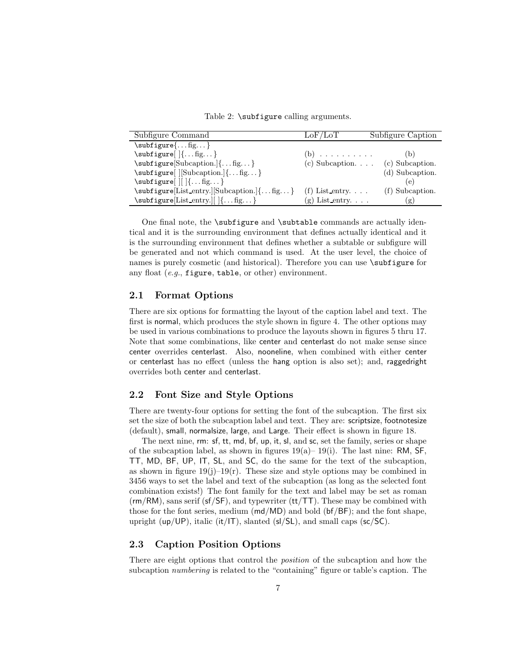Table 2: \subfigure calling arguments.

| Subfigure Command                                      | LoF/LoT                    | Subfigure Caption |
|--------------------------------------------------------|----------------------------|-------------------|
| $\sub{single}$ fig                                     |                            |                   |
| $\sub{supfigure}$ $\{ \ldots fig \}$                   | $(b)$                      | (b)               |
| $\subfigure[Subcaption.$ { fig}                        | (c) Subcaption. $\ldots$   | (c) Subcaption.   |
| $\subfigure[$ $ [Subcaption.]{fig}$                    |                            | (d) Subcaption.   |
| $\subfigure[     {fig}$                                |                            |                   |
| $\simeq$ \subfigure [List_entry.] [Subcaption.] { fig} | (f) List entry. $\ldots$   | (f) Subcaption.   |
| $\subfigure[List-entry.][ ]\{ \dots fig. \dots \}$     | (g) List_entry. $\ldots$ . | (g)               |

One final note, the \subfigure and \subtable commands are actually identical and it is the surrounding environment that defines actually identical and it is the surrounding environment that defines whether a subtable or subfigure will be generated and not which command is used. At the user level, the choice of names is purely cosmetic (and historical). Therefore you can use \subfigure for any float  $(e.g.,$  figure, table, or other) environment.

#### 2.1 Format Options

There are six options for formatting the layout of the caption label and text. The first is normal, which produces the style shown in figure 4. The other options may be used in various combinations to produce the layouts shown in figures 5 thru 17. Note that some combinations, like center and centerlast do not make sense since center overrides centerlast. Also, nooneline, when combined with either center or centerlast has no effect (unless the hang option is also set); and, raggedright overrides both center and centerlast.

#### 2.2 Font Size and Style Options

There are twenty-four options for setting the font of the subcaption. The first six set the size of both the subcaption label and text. They are: scriptsize, footnotesize (default), small, normalsize, large, and Large. Their effect is shown in figure 18.

The next nine, rm: sf, tt, md, bf, up, it, sl, and sc, set the family, series or shape of the subcaption label, as shown in figures  $19(a)$ –  $19(i)$ . The last nine: RM, SF, TT, MD, BF, UP, IT, SL, and SC, do the same for the text of the subcaption, as shown in figure  $19(j)-19(r)$ . These size and style options may be combined in 3456 ways to set the label and text of the subcaption (as long as the selected font combination exists!) The font family for the text and label may be set as roman  $(rm/RM)$ , sans serif (sf/SF), and typewriter (tt/TT). These may be combined with those for the font series, medium (md/MD) and bold (bf/BF); and the font shape, upright (up/UP), italic (it/IT), slanted ( $s$ l/SL), and small caps ( $sc/SC$ ).

#### 2.3 Caption Position Options

There are eight options that control the position of the subcaption and how the subcaption numbering is related to the "containing" figure or table's caption. The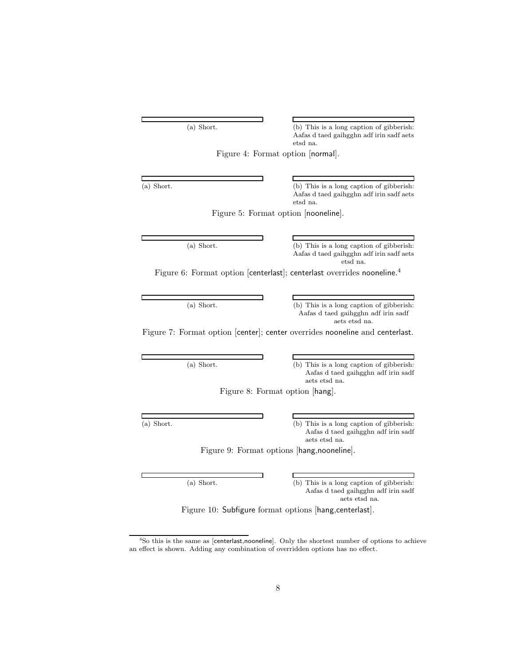(a) Short. (b) This is a long caption of gibberish: Aafas d taed gaihgghn adf irin sadf aets etsd na.

Figure 4: Format option [normal].

(a) Short. (b) This is a long caption of gibberish: Aafas d taed gaihgghn adf irin sadf aets etsd na.

Figure 5: Format option [nooneline].

(a) Short. (b) This is a long caption of gibberish: Aafas d taed gaihgghn adf irin sadf aets etsd na.

Figure 6: Format option [centerlast]; centerlast overrides nooneline.<sup>4</sup>

 $\overline{\phantom{a}}$ 

(a) Short. (b) This is a long caption of gibberish: Aafas d taed gaihgghn adf irin sadf aets etsd na.

٦

Figure 7: Format option [center]; center overrides nooneline and centerlast.

(a) Short. (b) This is a long caption of gibberish: Aafas d taed gaihgghn adf irin sadf aets etsd na.

Figure 8: Format option [hang].

(a) Short. (b) This is a long caption of gibberish: Aafas d taed gaihgghn adf irin sadf aets etsd na.

Figure 9: Format options [hang,nooneline].

(a) Short. (b) This is a long caption of gibberish: Aafas d taed gaihgghn adf irin sadf aets etsd na.

Figure 10: Subfigure format options [hang,centerlast].

<sup>&</sup>lt;sup>4</sup>So this is the same as [centerlast,nooneline]. Only the shortest number of options to achieve an effect is shown. Adding any combination of overridden options has no effect.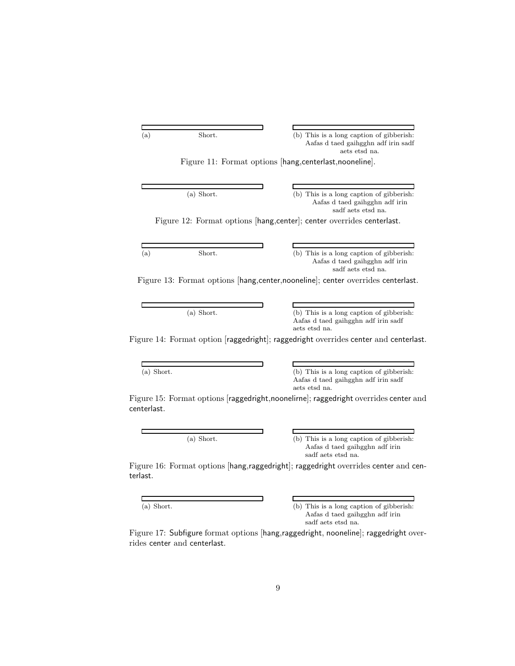| (a)          |              |                                                                                                                                                                                                                                                                               |
|--------------|--------------|-------------------------------------------------------------------------------------------------------------------------------------------------------------------------------------------------------------------------------------------------------------------------------|
|              | Short.       | (b) This is a long caption of gibberish.<br>Aafas d taed gaihgghn adf irin sadf<br>aets etsd na.                                                                                                                                                                              |
|              |              | Figure 11: Format options [hang, centerlast, nooneline].                                                                                                                                                                                                                      |
|              |              |                                                                                                                                                                                                                                                                               |
|              | $(a)$ Short. | (b) This is a long caption of gibberish:<br>Aafas d taed gaihgghn adf irin<br>sadf aets etsd na.                                                                                                                                                                              |
|              |              | Figure 12: Format options [hang, center]; center overrides centerlast.                                                                                                                                                                                                        |
|              |              |                                                                                                                                                                                                                                                                               |
| (a)          | Short.       | (b) This is a long caption of gibberish:<br>Aafas d taed gaihgghn adf irin<br>sadf aets etsd na.                                                                                                                                                                              |
|              |              |                                                                                                                                                                                                                                                                               |
|              |              |                                                                                                                                                                                                                                                                               |
|              |              |                                                                                                                                                                                                                                                                               |
|              | $(a)$ Short. | (b) This is a long caption of gibberish:<br>Aafas d taed gaihgghn adf irin sadf<br>aets etsd na.                                                                                                                                                                              |
|              |              |                                                                                                                                                                                                                                                                               |
|              |              |                                                                                                                                                                                                                                                                               |
| $(a)$ Short. |              | Figure 13: Format options [hang, center, nooneline]; center overrides centerlast.<br>Figure 14: Format option [raggedright]; raggedright overrides center and centerlast.<br>(b) This is a long caption of gibberish:<br>Aafas d taed gaihgghn adf irin sadf<br>aets etsd na. |

(a) Short. (b) This is a long caption of gibberish: Aafas d taed gaihgghn adf irin sadf aets etsd na.

Figure 16: Format options [hang,raggedright]; raggedright overrides center and centerlast.

L

 $\Gamma$ 

(a) Short. (b) This is a long caption of gibberish: Aafas d taed gaihgghn adf irin sadf aets etsd na.

Figure 17: Subfigure format options [hang,raggedright, nooneline]; raggedright overrides center and centerlast.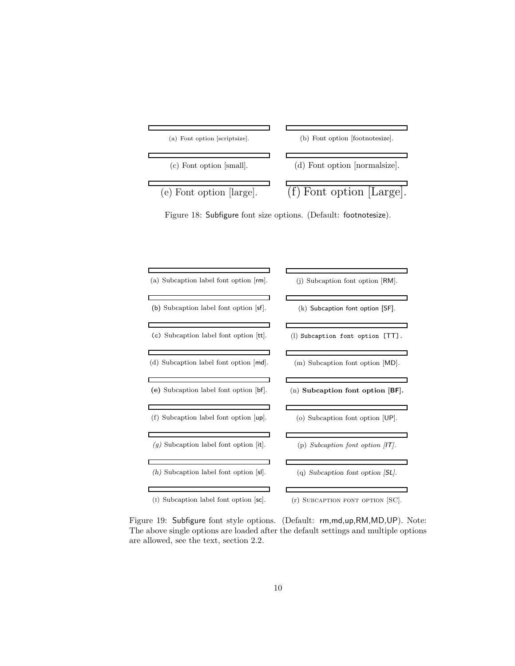

Figure 18: Subfigure font size options. (Default: footnotesize).

| (a) Subcaption label font option [rm].                       | (j) Subcaption font option $ RM $ .   |
|--------------------------------------------------------------|---------------------------------------|
| (b) Subcaption label font option  sf .                       | $(k)$ Subcaption font option $[SF]$ . |
| (c) Subcaption label font option $ tt $ .                    | (1) Subcaption font option [TT].      |
| (d) Subcaption label font option $\vert \mathsf{md} \vert$ . | (m) Subcaption font option [MD].      |
| (e) Subcaption label font option  bf .                       | $(n)$ Subcaption font option $ BF $ . |
| (f) Subcaption label font option [up].                       | (o) Subcaption font option [UP].      |
| $(g)$ Subcaption label font option $ \mathbf{it} $ .         | (p) Subcaption font option $ IT $ .   |
| $(h)$ Subcaption label font option $ sl $ .                  | (q) Subcaption font option $ SL $ .   |
|                                                              |                                       |
| $(I)$ Subcaption label font option $ sc $ .                  | (r) SUBCAPTION FONT OPTION SC.        |

Figure 19: Subfigure font style options. (Default: rm,md,up,RM,MD,UP). Note:

The above single options are loaded after the default settings and multiple options are allowed, see the text, section 2.2.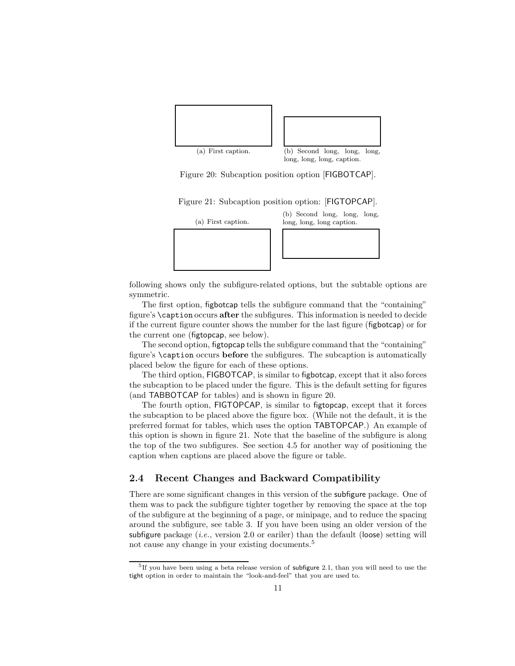

long, long, long, caption.

Figure 20: Subcaption position option [FIGBOTCAP].

Figure 21: Subcaption position option: [FIGTOPCAP].



following shows only the subfigure-related options, but the subtable options are symmetric.

The first option, figbotcap tells the subfigure command that the "containing" figure's \caption occurs after the subfigures. This information is needed to decide if the current figure counter shows the number for the last figure (figbotcap) or for the current one (figtopcap, see below).

The second option, figtopcap tells the subfigure command that the "containing" figure's \caption occurs before the subfigures. The subcaption is automatically placed below the figure for each of these options.

The third option, FIGBOTCAP, is similar to figbotcap, except that it also forces the subcaption to be placed under the figure. This is the default setting for figures (and TABBOTCAP for tables) and is shown in figure 20.

The fourth option, FIGTOPCAP, is similar to figtopcap, except that it forces the subcaption to be placed above the figure box. (While not the default, it is the preferred format for tables, which uses the option TABTOPCAP.) An example of this option is shown in figure 21. Note that the baseline of the subfigure is along the top of the two subfigures. See section 4.5 for another way of positioning the caption when captions are placed above the figure or table.

#### 2.4 Recent Changes and Backward Compatibility

There are some significant changes in this version of the subfigure package. One of them was to pack the subfigure tighter together by removing the space at the top of the subfigure at the beginning of a page, or minipage, and to reduce the spacing around the subfigure, see table 3. If you have been using an older version of the subfigure package (*i.e.*, version 2.0 or eariler) than the default (loose) setting will not cause any change in your existing documents.<sup>5</sup>

<sup>&</sup>lt;sup>5</sup>If you have been using a beta release version of subfigure 2.1, than you will need to use the tight option in order to maintain the "look-and-feel" that you are used to.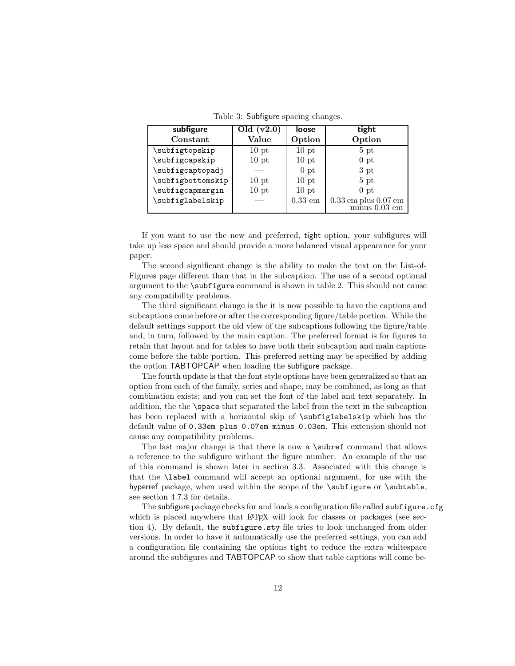| subfigure         | Old $(v2.0)$     | loose            | tight                                                                  |
|-------------------|------------------|------------------|------------------------------------------------------------------------|
| Constant          | Value            | Option           | Option                                                                 |
| \subfigtopskip    | $10$ pt          | 10 <sub>pt</sub> | 5 <sub>pt</sub>                                                        |
| \subfigcapskip    | 10 <sub>pt</sub> | $10$ pt          | 0 <sub>pt</sub>                                                        |
| \subfigcaptopadj  |                  | 0 <sub>pt</sub>  | 3 pt                                                                   |
| \subfigbottomskip | $10$ pt          | 10 <sub>pt</sub> | 5 <sub>pt</sub>                                                        |
| \subfigcapmargin  | $10$ pt          | 10 <sub>pt</sub> | 0 <sub>pt</sub>                                                        |
| \subfiglabelskip  |                  | $0.33$ em        | $0.33\,\mathrm{em}$ plus $0.07\,\mathrm{em}$ minus $0.03\,\mathrm{em}$ |
|                   |                  |                  |                                                                        |

Table 3: Subfigure spacing changes.

If you want to use the new and preferred, tight option, your subfigures will take up less space and should provide a more balanced visual appearance for your paper.

The second significant change is the ability to make the text on the List-of-Figures page different than that in the subcaption. The use of a second optional argument to the \subfigure command is shown in table 2. This should not cause any compatibility problems.

The third significant change is the it is now possible to have the captions and subcaptions come before or after the corresponding figure/table portion. While the default settings support the old view of the subcaptions following the figure/table and, in turn, followed by the main caption. The preferred format is for figures to retain that layout and for tables to have both their subcaption and main captions come before the table portion. This preferred setting may be specified by adding the option TABTOPCAP when loading the subfigure package.

The fourth update is that the font style options have been generalized so that an option from each of the family, series and shape, may be combined, as long as that combination exists; and you can set the font of the label and text separately. In addition, the the \space that separated the label from the text in the subcaption has been replaced with a horizontal skip of \subfiglabelskip which has the default value of 0.33em plus 0.07em minus 0.03em. This extension should not cause any compatibility problems.

The last major change is that there is now a **\subref** command that allows a reference to the subfigure without the figure number. An example of the use of this command is shown later in section 3.3. Associated with this change is that the \label command will accept an optional argument, for use with the hyperref package, when used within the scope of the \subfigure or \subtable, see section 4.7.3 for details.

The subfigure package checks for and loads a configuration file called subfigure.cfg which is placed anywhere that LAT<sub>EX</sub> will look for classes or packages (see section 4). By default, the subfigure.sty file tries to look unchanged from older versions. In order to have it automatically use the preferred settings, you can add a configuration file containing the options tight to reduce the extra whitespace around the subfigures and TABTOPCAP to show that table captions will come be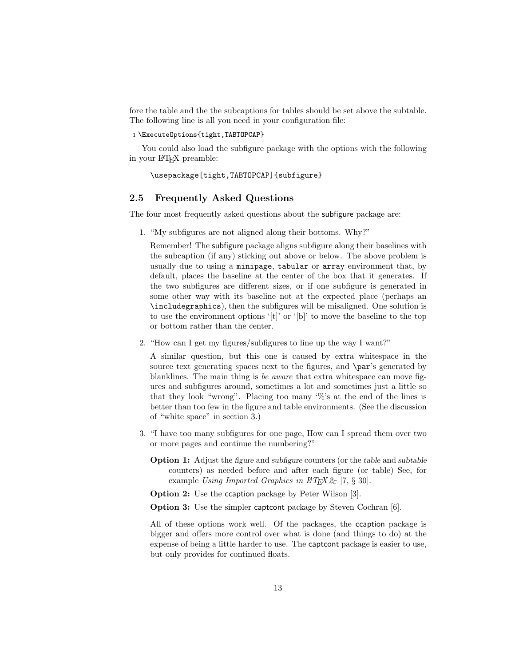fore the table and the the subcaptions for tables should be set above the subtable. The following line is all you need in your configuration file:

1 \ExecuteOptions{tight,TABTOPCAP}

You could also load the subfigure package with the options with the following in your LATEX preamble:

```
\usepackage[tight,TABTOPCAP]{subfigure}
```
#### 2.5 Frequently Asked Questions

The four most frequently asked questions about the subfigure package are:

1. "My subfigures are not aligned along their bottoms. Why?"

Remember! The subfigure package aligns subfigure along their baselines with the subcaption (if any) sticking out above or below. The above problem is usually due to using a minipage, tabular or array environment that, by default, places the baseline at the center of the box that it generates. If the two subfigures are different sizes, or if one subfigure is generated in some other way with its baseline not at the expected place (perhaps an \includegraphics), then the subfigures will be misaligned. One solution is to use the environment options '[t]' or '[b]' to move the baseline to the top or bottom rather than the center.

2. "How can I get my figures/subfigures to line up the way I want?"

A similar question, but this one is caused by extra whitespace in the source text generating spaces next to the figures, and \par's generated by blanklines. The main thing is be aware that extra whitespace can move figures and subfigures around, sometimes a lot and sometimes just a little so that they look "wrong". Placing too many '%'s at the end of the lines is better than too few in the figure and table environments. (See the discussion of "white space" in section 3.)

- 3. "I have too many subfigures for one page, How can I spread them over two or more pages and continue the numbering?"
	- Option 1: Adjust the figure and subfigure counters (or the table and subtable counters) as needed before and after each figure (or table) See, for example Using Imported Graphics in  $\cancel{B}TEX \, \mathcal{Z}_{\epsilon}$  [7, § 30].
	- Option 2: Use the ccaption package by Peter Wilson [3].

Option 3: Use the simpler captcont package by Steven Cochran [6].

All of these options work well. Of the packages, the ccaption package is bigger and offers more control over what is done (and things to do) at the expense of being a little harder to use. The captcont package is easier to use, but only provides for continued floats.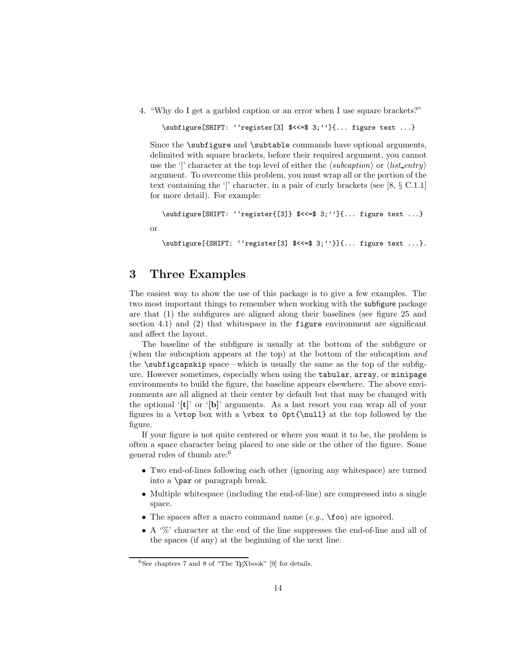4. "Why do I get a garbled caption or an error when I use square brackets?"

```
\subfigure[SHIFT: ''register[3] $<<=$ 3;'']{... figure text ...}
```
Since the **\subfigure** and **\subtable** commands have optional arguments, delimited with square brackets, before their required argument, you cannot use the ']' character at the top level of either the  $\langle subcaption \rangle$  or  $\langle list\_entry \rangle$ argument. To overcome this problem, you must wrap all or the portion of the text containing the ']' character, in a pair of curly brackets (see  $[8, \S \text{ C.1.1}]$ for more detail). For example:

```
\subfigure[SHIFT: ''register{[3]} $<<=$ 3;'']{... figure text ...}
```
or

```
\subfigure[{SHIFT: ''register[3] $<<=$ 3;''}]{... figure text ...}.
```
## 3 Three Examples

The easiest way to show the use of this package is to give a few examples. The two most important things to remember when working with the subfigure package are that (1) the subfigures are aligned along their baselines (see figure 25 and section 4.1) and (2) that whitespace in the figure environment are significant and affect the layout.

The baseline of the subfigure is usually at the bottom of the subfigure or (when the subcaption appears at the top) at the bottom of the subcaption and the \subfigcapskip space—which is usually the same as the top of the subfigure. However sometimes, especially when using the tabular, array, or minipage environments to build the figure, the baseline appears elsewhere. The above environments are all aligned at their center by default but that may be changed with the optional '[t]' or '[b]' arguments. As a last resort you can wrap all of your figures in a \vtop box with a \vbox to 0pt{\null} at the top followed by the figure.

If your figure is not quite centered or where you want it to be, the problem is often a space character being placed to one side or the other of the figure. Some general rules of thumb are:<sup>6</sup>

- Two end-of-lines following each other (ignoring any whitespace) are turned into a \par or paragraph break.
- Multiple whitespace (including the end-of-line) are compressed into a single space.
- The spaces after a macro command name  $(e.g., \text{10})$  are ignored.
- A '%' character at the end of the line suppresses the end-of-line and all of the spaces (if any) at the beginning of the next line.

 $6$ See chapters 7 and 8 of "The T<sub>E</sub>Xbook" [9] for details.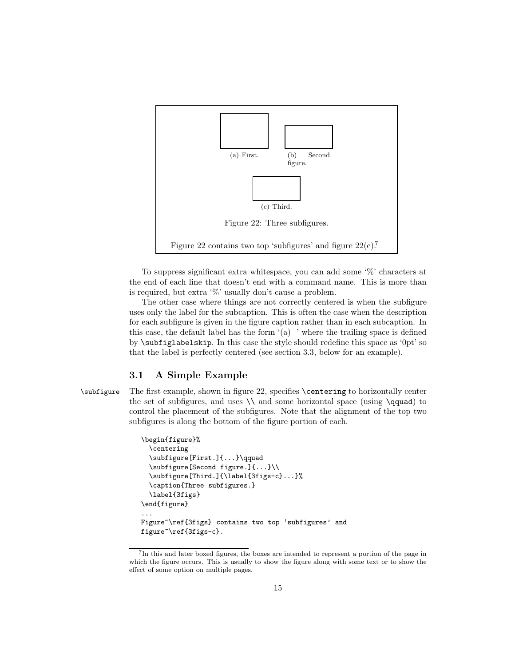

To suppress significant extra whitespace, you can add some '%' characters at the end of each line that doesn't end with a command name. This is more than is required, but extra '%' usually don't cause a problem.

The other case where things are not correctly centered is when the subfigure uses only the label for the subcaption. This is often the case when the description for each subfigure is given in the figure caption rather than in each subcaption. In this case, the default label has the form  $(a)$  ' where the trailing space is defined by \subfiglabelskip. In this case the style should redefine this space as '0pt' so that the label is perfectly centered (see section 3.3, below for an example).

#### 3.1 A Simple Example

\subfigure The first example, shown in figure 22, specifies \centering to horizontally center the set of subfigures, and uses  $\setminus$  and some horizontal space (using  $\qquad$ quad) to control the placement of the subfigures. Note that the alignment of the top two subfigures is along the bottom of the figure portion of each.

```
\begin{figure}%
  \centering
  \subfigure[First.]{...}\qquad
  \subfigure[Second figure.]{...}\\
  \subfigure[Third.]{\label{3figs-c}...}%
  \caption{Three subfigures.}
  \label{3figs}
\end{figure}
...
Figure~\ref{3figs} contains two top 'subfigures' and
figure~\ref{3figs-c}.
```
<sup>7</sup> In this and later boxed figures, the boxes are intended to represent a portion of the page in which the figure occurs. This is usually to show the figure along with some text or to show the effect of some option on multiple pages.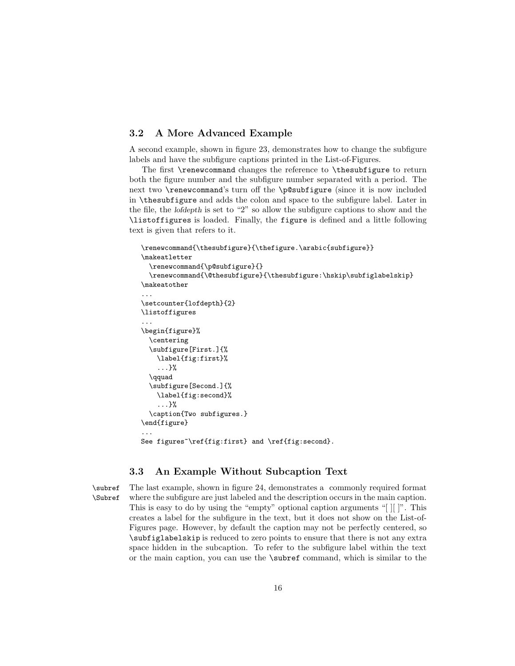#### 3.2 A More Advanced Example

A second example, shown in figure 23, demonstrates how to change the subfigure labels and have the subfigure captions printed in the List-of-Figures.

The first \renewcommand changes the reference to \thesubfigure to return both the figure number and the subfigure number separated with a period. The next two \renewcommand's turn off the \p@subfigure (since it is now included in \thesubfigure and adds the colon and space to the subfigure label. Later in the file, the lofdepth is set to "2" so allow the subfigure captions to show and the \listoffigures is loaded. Finally, the figure is defined and a little following text is given that refers to it.

```
\renewcommand{\thesubfigure}{\thefigure.\arabic{subfigure}}
\makeatletter
  \renewcommand{\p@subfigure}{}
  \renewcommand{\@thesubfigure}{\thesubfigure:\hskip\subfiglabelskip}
\makeatother
...
\setcounter{lofdepth}{2}
\listoffigures
...
\begin{figure}%
  \centering
  \subfigure[First.]{%
    \label{fig:first}%
    ...}%
  \qquad
  \subfigure[Second.]{%
    \label{fig:second}%
    ...}%
  \caption{Two subfigures.}
\end{figure}
...
See figures<sup>~</sup>\ref{fig:first} and \ref{fig:second}.
```
#### 3.3 An Example Without Subcaption Text

\subref The last example, shown in figure 24, demonstrates a commonly required format \Subref where the subfigure are just labeled and the description occurs in the main caption. This is easy to do by using the "empty" optional caption arguments "[ ][ ]". This creates a label for the subfigure in the text, but it does not show on the List-of-Figures page. However, by default the caption may not be perfectly centered, so \subfiglabelskip is reduced to zero points to ensure that there is not any extra space hidden in the subcaption. To refer to the subfigure label within the text or the main caption, you can use the \subref command, which is similar to the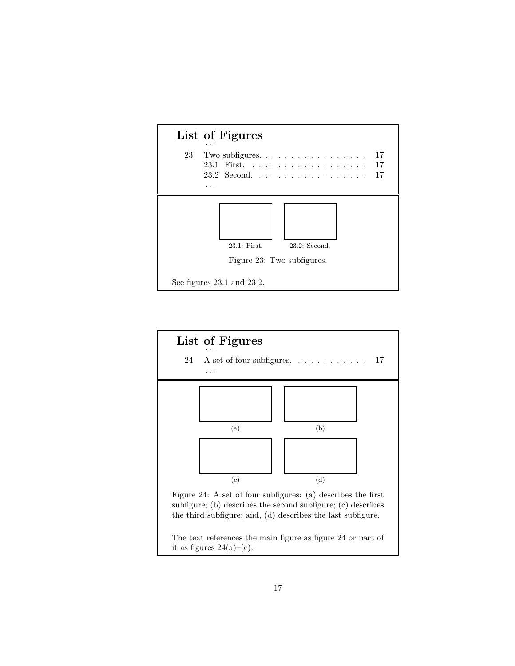

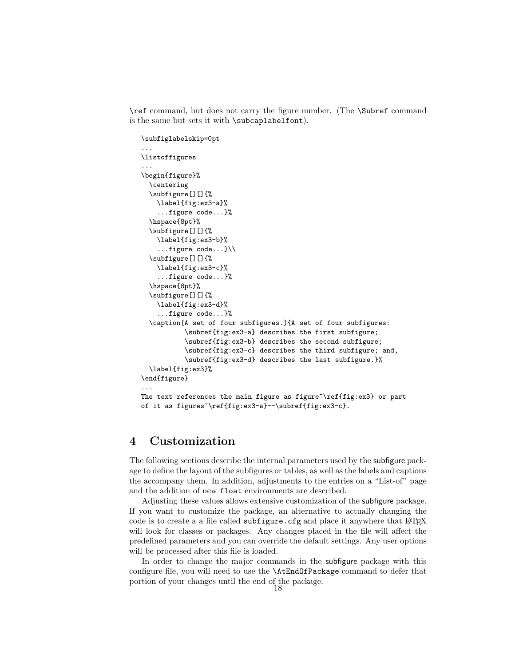\ref command, but does not carry the figure number. (The \Subref command is the same but sets it with \subcaplabelfont).

```
\subfiglabelskip=0pt
...
\listoffigures
...
\begin{figure}%
  \centering
 \subfigure[][]{%
   \label{fig:ex3-a}%
    ...figure code...}%
  \hspace{8pt}%
  \subfigure[][]{%
    \label{fig:ex3-b}%
    ...figure code...}\\
  \subfigure[][]{%
   \label{fig:ex3-c}%
    ...figure code...}%
  \hspace{8pt}%
  \subfigure[][]{%
   \label{fig:ex3-d}%
    ...figure code...}%
  \caption[A set of four subfigures.]{A set of four subfigures:
           \subref{fig:ex3-a} describes the first subfigure;
           \subref{fig:ex3-b} describes the second subfigure;
           \subref{fig:ex3-c} describes the third subfigure; and,
           \subref{fig:ex3-d} describes the last subfigure.}%
  \label{fig:ex3}%
\end{figure}
...
The text references the main figure as figure~\ref{fig:ex3} or part
of it as figures~\ref{fig:ex3-a}--\subref{fig:ex3-c}.
```
### 4 Customization

The following sections describe the internal parameters used by the subfigure package to define the layout of the subfigures or tables, as well as the labels and captions the accompany them. In addition, adjustments to the entries on a "List-of" page and the addition of new float environments are described.

Adjusting these values allows extensive customization of the subfigure package. If you want to customize the package, an alternative to actually changing the code is to create a a file called  $\text{subfigure.cfg}$  and place it anywhere that LAT<sub>E</sub>X will look for classes or packages. Any changes placed in the file will affect the predefined parameters and you can override the default settings. Any user options will be processed after this file is loaded.

In order to change the major commands in the subfigure package with this configure file, you will need to use the \AtEndOfPackage command to defer that portion of your changes until the end of the package.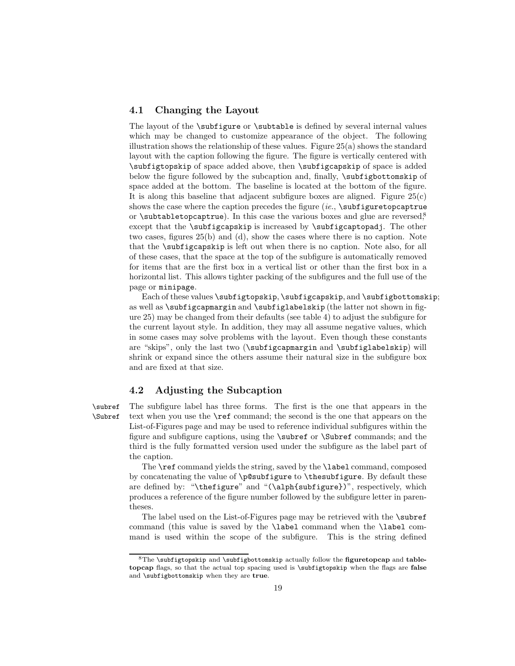#### 4.1 Changing the Layout

The layout of the **\subfigure** or **\subtable** is defined by several internal values which may be changed to customize appearance of the object. The following illustration shows the relationship of these values. Figure  $25(a)$  shows the standard layout with the caption following the figure. The figure is vertically centered with \subfigtopskip of space added above, then \subfigcapskip of space is added below the figure followed by the subcaption and, finally,  $\subfigbottomskip$  of space added at the bottom. The baseline is located at the bottom of the figure. It is along this baseline that adjacent subfigure boxes are aligned. Figure  $25(c)$ shows the case where the caption precedes the figure  $(ie, \s$  subfiguretopcaptrue or  $\setminus$ subtabletopcaptrue). In this case the various boxes and glue are reversed,<sup>8</sup> except that the \subfigcapskip is increased by \subfigcaptopadj. The other two cases, figures 25(b) and (d), show the cases where there is no caption. Note that the \subfigcapskip is left out when there is no caption. Note also, for all of these cases, that the space at the top of the subfigure is automatically removed for items that are the first box in a vertical list or other than the first box in a horizontal list. This allows tighter packing of the subfigures and the full use of the page or minipage.

Each of these values \subfigtopskip, \subfigcapskip, and \subfigbottomskip; as well as \subfigcapmargin and \subfiglabelskip (the latter not shown in figure 25) may be changed from their defaults (see table 4) to adjust the subfigure for the current layout style. In addition, they may all assume negative values, which in some cases may solve problems with the layout. Even though these constants are "skips", only the last two (\subfigcapmargin and \subfiglabelskip) will shrink or expand since the others assume their natural size in the subfigure box and are fixed at that size.

#### 4.2 Adjusting the Subcaption

\subref The subfigure label has three forms. The first is the one that appears in the \Subref text when you use the \ref command; the second is the one that appears on the List-of-Figures page and may be used to reference individual subfigures within the figure and subfigure captions, using the \subref or \Subref commands; and the third is the fully formatted version used under the subfigure as the label part of the caption.

> The **\ref** command yields the string, saved by the **\label** command, composed by concatenating the value of \p@subfigure to \thesubfigure. By default these are defined by: "\thefigure" and "(\alph{subfigure})", respectively, which produces a reference of the figure number followed by the subfigure letter in parentheses.

> The label used on the List-of-Figures page may be retrieved with the \subref command (this value is saved by the \label command when the \label command is used within the scope of the subfigure. This is the string defined

 $8$ The \subfigtopskip and \subfigbottomskip actually follow the figuretopcap and tabletopcap flags, so that the actual top spacing used is \subfigtopskip when the flags are false and \subfigbottomskip when they are true.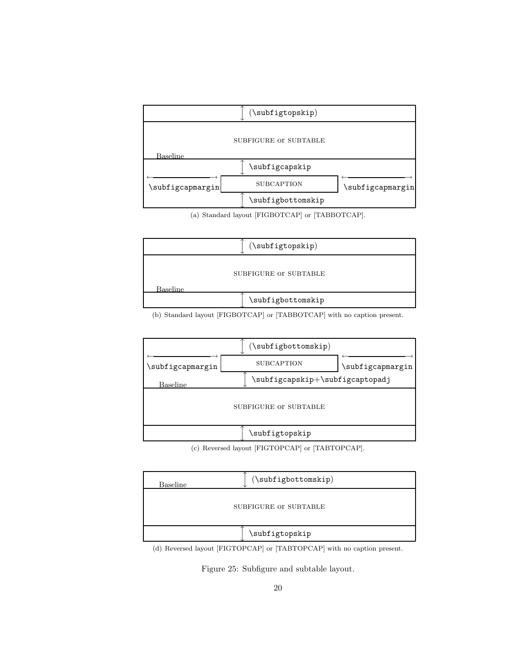

(a) Standard layout [FIGBOTCAP] or [TABBOTCAP].



(b) Standard layout [FIGBOTCAP] or [TABBOTCAP] with no caption present.



(c) Reversed layout [FIGTOPCAP] or [TABTOPCAP].

| Baseline | $(\subfigbottomskip)$ |  |
|----------|-----------------------|--|
|          | SUBFIGURE OF SUBTABLE |  |
|          | \subfigtopskip        |  |

(d) Reversed layout [FIGTOPCAP] or [TABTOPCAP] with no caption present.

Figure 25: Subfigure and subtable layout.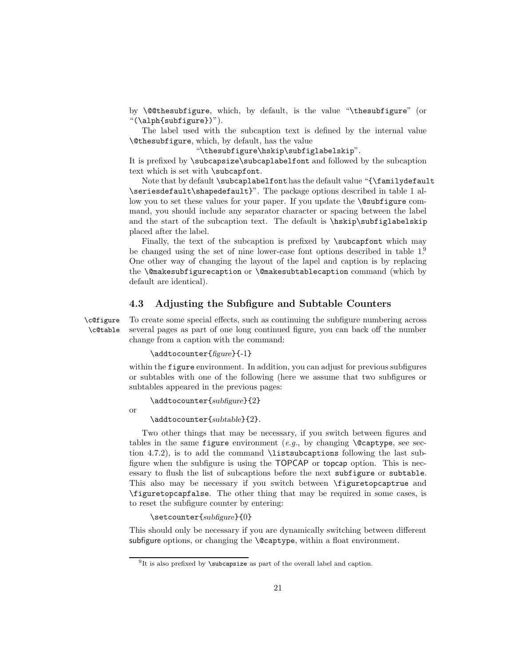by \@@thesubfigure, which, by default, is the value "\thesubfigure" (or "(\alph{subfigure})").

The label used with the subcaption text is defined by the internal value \@thesubfigure, which, by default, has the value

"\thesubfigure\hskip\subfiglabelskip".

It is prefixed by \subcapsize\subcaplabelfont and followed by the subcaption text which is set with **\subcapfont**.

Note that by default \subcaplabelfont has the default value "{\familydefault \seriesdefault\shapedefault}". The package options described in table 1 allow you to set these values for your paper. If you update the **\@subfigure** command, you should include any separator character or spacing between the label and the start of the subcaption text. The default is \hskip\subfiglabelskip placed after the label.

Finally, the text of the subcaption is prefixed by \subcapfont which may be changed using the set of nine lower-case font options described in table 1.<sup>9</sup> One other way of changing the layout of the lapel and caption is by replacing the \@makesubfigurecaption or \@makesubtablecaption command (which by default are identical).

#### 4.3 Adjusting the Subfigure and Subtable Counters

\c@figure To create some special effects, such as continuing the subfigure numbering across \c@table several pages as part of one long continued figure, you can back off the number change from a caption with the command:

#### \addtocounter{figure}{-1}

within the figure environment. In addition, you can adjust for previous subfigures or subtables with one of the following (here we assume that two subfigures or subtables appeared in the previous pages:

\addtocounter{subfigure}{2}

or

\addtocounter{subtable}{2}.

Two other things that may be necessary, if you switch between figures and tables in the same figure environment (e.g., by changing  $\Diamond$  captype, see section 4.7.2), is to add the command \listsubcaptions following the last subfigure when the subfigure is using the TOPCAP or topcap option. This is necessary to flush the list of subcaptions before the next subfigure or subtable. This also may be necessary if you switch between \figuretopcaptrue and \figuretopcapfalse. The other thing that may be required in some cases, is to reset the subfigure counter by entering:

\setcounter{subfigure}{0}

This should only be necessary if you are dynamically switching between different subfigure options, or changing the **\@captype**, within a float environment.

<sup>&</sup>lt;sup>9</sup>It is also prefixed by **\subcapsize** as part of the overall label and caption.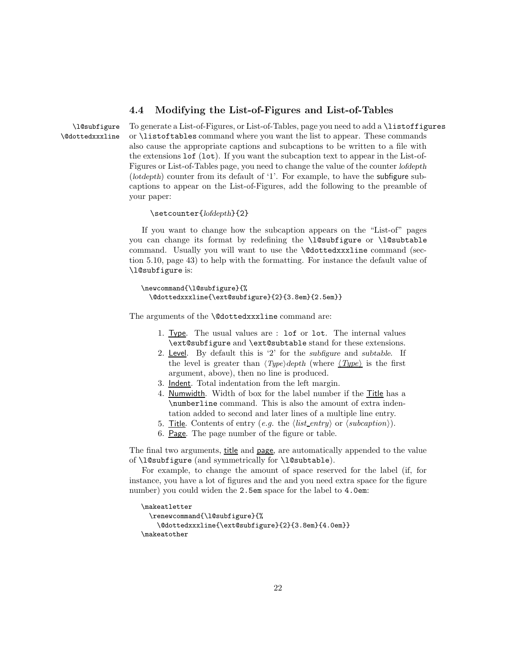#### 4.4 Modifying the List-of-Figures and List-of-Tables

\l@subfigure To generate a List-of-Figures, or List-of-Tables, page you need to add a \listoffigures \@dottedxxxline or \listoftables command where you want the list to appear. These commands also cause the appropriate captions and subcaptions to be written to a file with the extensions lof (lot). If you want the subcaption text to appear in the List-of-Figures or List-of-Tables page, you need to change the value of the counter lofdepth (lotdepth) counter from its default of '1'. For example, to have the subfigure subcaptions to appear on the List-of-Figures, add the following to the preamble of your paper:

\setcounter{lofdepth}{2}

If you want to change how the subcaption appears on the "List-of" pages you can change its format by redefining the \l@subfigure or \l@subtable command. Usually you will want to use the \@dottedxxxline command (section 5.10, page 43) to help with the formatting. For instance the default value of \l@subfigure is:

```
\newcommand{\l@subfigure}{%
 \@dottedxxxline{\ext@subfigure}{2}{3.8em}{2.5em}}
```
The arguments of the **\@dottedxxxline** command are:

- 1. Type. The usual values are : lof or lot. The internal values \ext@subfigure and \ext@subtable stand for these extensions.
- 2. Level. By default this is '2' for the subfigure and subtable. If the level is greater than  $\langle Type \rangle$  depth (where  $\langle Type \rangle$  is the first argument, above), then no line is produced.
- 3. Indent. Total indentation from the left margin.
- 4. Numwidth. Width of box for the label number if the Title has a \numberline command. This is also the amount of extra indentation added to second and later lines of a multiple line entry.
- 5. Title. Contents of entry (e.g. the  $\langle list\_entry \rangle$  or  $\langle subcaption \rangle$ ).
- 6. Page. The page number of the figure or table.

The final two arguments, title and page, are automatically appended to the value of \l@subfigure (and symmetrically for \l@subtable).

For example, to change the amount of space reserved for the label (if, for instance, you have a lot of figures and the and you need extra space for the figure number) you could widen the 2.5em space for the label to 4.0em:

```
\makeatletter
 \renewcommand{\l@subfigure}{%
   \@dottedxxxline{\ext@subfigure}{2}{3.8em}{4.0em}}
\makeatother
```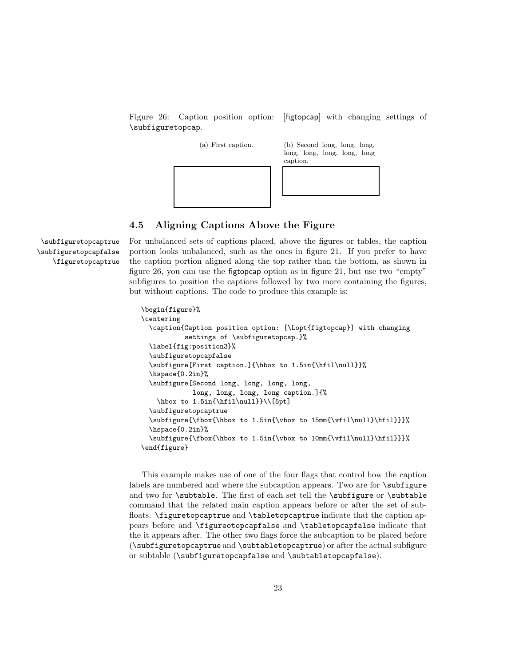Figure 26: Caption position option: [figtopcap] with changing settings of \subfiguretopcap.



#### 4.5 Aligning Captions Above the Figure

\subfiguretopcapfalse \figuretopcaptrue

\subfiguretopcaptrue For unbalanced sets of captions placed, above the figures or tables, the caption portion looks unbalanced, such as the ones in figure 21. If you prefer to have the caption portion aligned along the top rather than the bottom, as shown in figure 26, you can use the figtopcap option as in figure 21, but use two "empty" subfigures to position the captions followed by two more containing the figures, but without captions. The code to produce this example is:

```
\begin{figure}%
\centering
  \caption{Caption position option: [\Lopt{figtopcap}] with changing
           settings of \subfiguretopcap.}%
  \label{fig:position3}%
  \subfiguretopcapfalse
  \subfigure[First caption.]{\hbox to 1.5in{\hfil\null}}%
  \hspace{0.2in}%
  \subfigure[Second long, long, long, long,
             long, long, long, long caption.]{%
    \hbox to 1.5in{\hfil\null}}\\[5pt]
  \subfiguretopcaptrue
  \subfigure{\fbox{\hbox to 1.5in{\vbox to 15mm{\vfil\null}\hfil}}}%
  \hspace{0.2in}%
  \subfigure{\fbox{\hbox to 1.5in{\vbox to 10mm{\vfil\null}\hfil}}}%
\end{figure}
```
This example makes use of one of the four flags that control how the caption labels are numbered and where the subcaption appears. Two are for \subfigure and two for \subtable. The first of each set tell the \subfigure or \subtable command that the related main caption appears before or after the set of subfloats. \figuretopcaptrue and \tabletopcaptrue indicate that the caption appears before and \figureotopcapfalse and \tabletopcapfalse indicate that the it appears after. The other two flags force the subcaption to be placed before (\subfiguretopcaptrue and \subtabletopcaptrue) or after the actual subfigure or subtable (\subfiguretopcapfalse and \subtabletopcapfalse).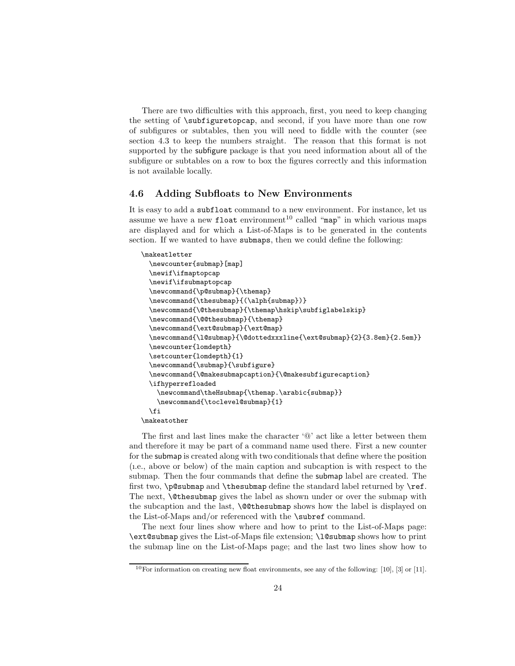There are two difficulties with this approach, first, you need to keep changing the setting of \subfiguretopcap, and second, if you have more than one row of subfigures or subtables, then you will need to fiddle with the counter (see section 4.3 to keep the numbers straight. The reason that this format is not supported by the subfigure package is that you need information about all of the subfigure or subtables on a row to box the figures correctly and this information is not available locally.

#### 4.6 Adding Subfloats to New Environments

It is easy to add a subfloat command to a new environment. For instance, let us assume we have a new float environment<sup>10</sup> called "map" in which various maps are displayed and for which a List-of-Maps is to be generated in the contents section. If we wanted to have submaps, then we could define the following:

```
\makeatletter
 \newcounter{submap}[map]
 \newif\ifmaptopcap
 \newif\ifsubmaptopcap
 \newcommand{\p@submap}{\themap}
 \newcommand{\thesubmap}{(\alph{submap})}
 \newcommand{\@thesubmap}{\themap\hskip\subfiglabelskip}
 \newcommand{\@@thesubmap}{\themap}
 \newcommand{\ext@submap}{\ext@map}
 \newcommand{\l@submap}{\@dottedxxxline{\ext@submap}{2}{3.8em}{2.5em}}
 \newcounter{lomdepth}
 \setcounter{lomdepth}{1}
 \newcommand{\submap}{\subfigure}
 \newcommand{\@makesubmapcaption}{\@makesubfigurecaption}
 \ifhyperrefloaded
   \newcommand\theHsubmap{\themap.\arabic{submap}}
   \newcommand{\toclevel@submap}{1}
 \fi
\makeatother
```
The first and last lines make the character '@' act like a letter between them and therefore it may be part of a command name used there. First a new counter for the submap is created along with two conditionals that define where the position (ı.e., above or below) of the main caption and subcaption is with respect to the submap. Then the four commands that define the submap label are created. The first two, \p@submap and \thesubmap define the standard label returned by \ref. The next, **Quidesubmap** gives the label as shown under or over the submap with the subcaption and the last, \@@thesubmap shows how the label is displayed on the List-of-Maps and/or referenced with the \subref command.

The next four lines show where and how to print to the List-of-Maps page: \ext@submap gives the List-of-Maps file extension; \l@submap shows how to print the submap line on the List-of-Maps page; and the last two lines show how to

<sup>&</sup>lt;sup>10</sup>For information on creating new float environments, see any of the following: [10], [3] or [11].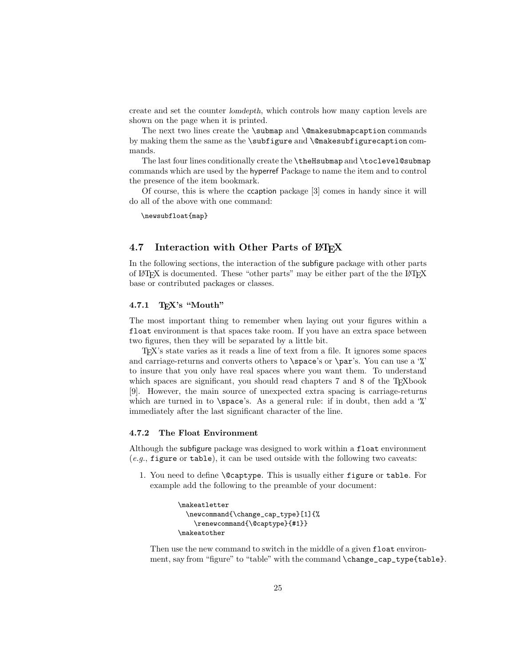create and set the counter lomdepth, which controls how many caption levels are shown on the page when it is printed.

The next two lines create the \submap and \@makesubmapcaption commands by making them the same as the \subfigure and \@makesubfigurecaption commands.

The last four lines conditionally create the \theHsubmap and \toclevel@submap commands which are used by the hyperref Package to name the item and to control the presence of the item bookmark.

Of course, this is where the ccaption package [3] comes in handy since it will do all of the above with one command:

\newsubfloat{map}

#### 4.7 Interaction with Other Parts of LAT<sub>EX</sub>

In the following sections, the interaction of the subfigure package with other parts of L<sup>AT</sup>EX is documented. These "other parts" may be either part of the the L<sup>AT</sup>EX base or contributed packages or classes.

#### 4.7.1 TEX's "Mouth"

The most important thing to remember when laying out your figures within a float environment is that spaces take room. If you have an extra space between two figures, then they will be separated by a little bit.

TEX's state varies as it reads a line of text from a file. It ignores some spaces and carriage-returns and converts others to \space's or \par's. You can use a '%' to insure that you only have real spaces where you want them. To understand which spaces are significant, you should read chapters 7 and 8 of the T<sub>E</sub>Xbook [9]. However, the main source of unexpected extra spacing is carriage-returns which are turned in to **\space**'s. As a general rule: if in doubt, then add a '%' immediately after the last significant character of the line.

#### 4.7.2 The Float Environment

Although the subfigure package was designed to work within a float environment  $(e.g.,$  figure or table), it can be used outside with the following two caveats:

1. You need to define \@captype. This is usually either figure or table. For example add the following to the preamble of your document:

```
\makeatletter
 \newcommand{\change_cap_type}[1]{%
    \renewcommand{\@captype}{#1}}
\makeatother
```
Then use the new command to switch in the middle of a given float environment, say from "figure" to "table" with the command \change\_cap\_type{table}.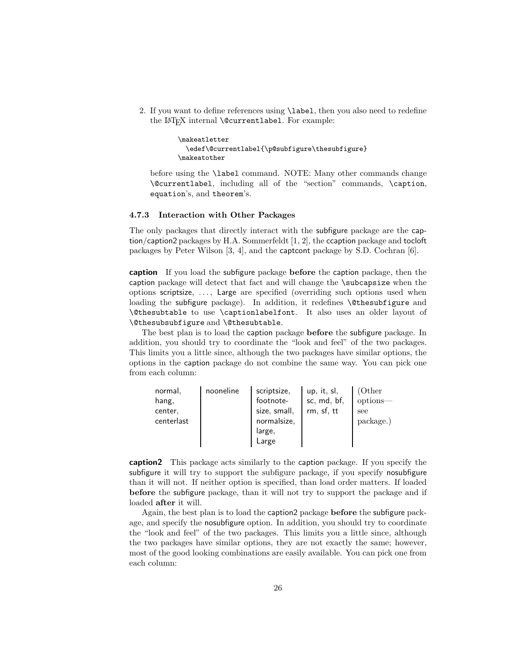2. If you want to define references using \label, then you also need to redefine the LAT<sub>E</sub>X internal **\@currentlabel**. For example:

```
\makeatletter
 \edef\@currentlabel{\p@subfigure\thesubfigure}
\makeatother
```
before using the \label command. NOTE: Many other commands change \@currentlabel, including all of the "section" commands, \caption, equation's, and theorem's.

#### 4.7.3 Interaction with Other Packages

The only packages that directly interact with the subfigure package are the caption/caption2 packages by H.A. Sommerfeldt [1, 2], the ccaption package and tocloft packages by Peter Wilson [3, 4], and the captcont package by S.D. Cochran [6].

caption If you load the subfigure package before the caption package, then the caption package will detect that fact and will change the \subcapsize when the options scriptsize, . . . , Large are specified (overriding such options used when loading the subfigure package). In addition, it redefines **\@thesubfigure** and \@thesubtable to use \captionlabelfont. It also uses an older layout of \@thesubsubfigure and \@thesubtable.

The best plan is to load the caption package before the subfigure package. In addition, you should try to coordinate the "look and feel" of the two packages. This limits you a little since, although the two packages have similar options, the options in the caption package do not combine the same way. You can pick one from each column:

| normal,    | nooneline | scriptsize.  | up, it, sl, | (Other)   |
|------------|-----------|--------------|-------------|-----------|
| hang,      |           | footnote-    | sc, md, bf, | options-  |
| center,    |           | size, small, | rm, sf, tt  | see       |
| centerlast |           | normalsize,  |             | package.) |
|            |           | large,       |             |           |
|            |           | Large        |             |           |

caption2 This package acts similarly to the caption package. If you specify the subfigure it will try to support the subfigure package, if you specify nosubfigure than it will not. If neither option is specified, than load order matters. If loaded before the subfigure package, than it will not try to support the package and if loaded after it will.

Again, the best plan is to load the caption2 package before the subfigure package, and specify the nosubfigure option. In addition, you should try to coordinate the "look and feel" of the two packages. This limits you a little since, although the two packages have similar options, they are not exactly the same; however, most of the good looking combinations are easily available. You can pick one from each column: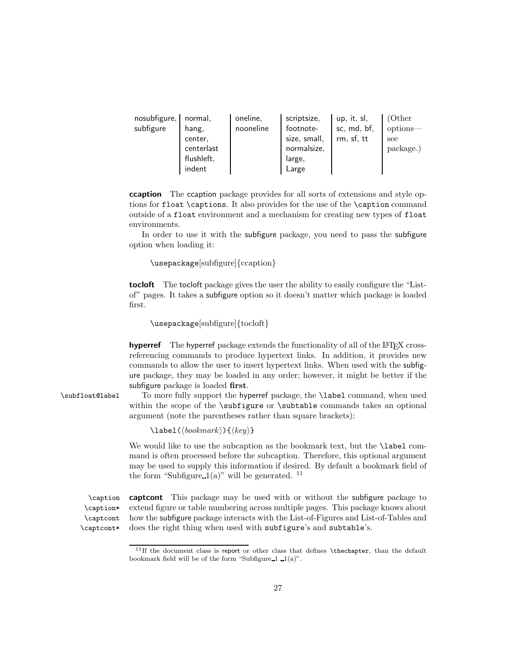| nosubfigure, | normal.    | oneline.  | scriptsize,  | up, it, sl, | (Other    |
|--------------|------------|-----------|--------------|-------------|-----------|
| subfigure    | hang,      | nooneline | footnote-    | sc, md, bf, | options-  |
|              | center,    |           | size, small, | rm, sf, tt  | see       |
|              | centerlast |           | normalsize,  |             | package.) |
|              | flushleft, |           | large,       |             |           |
|              | indent     |           | Large        |             |           |

ccaption The ccaption package provides for all sorts of extensions and style options for float \captions. It also provides for the use of the \caption command outside of a float environment and a mechanism for creating new types of float environments.

In order to use it with the subfigure package, you need to pass the subfigure option when loading it:

\usepackage[subfigure]{ccaption}

tocloft The tocloft package gives the user the ability to easily configure the "Listof" pages. It takes a subfigure option so it doesn't matter which package is loaded first.

\usepackage[subfigure]{tocloft}

**hyperref** The hyperref package extends the functionality of all of the  $\text{LFT}$  crossreferencing commands to produce hypertext links. In addition, it provides new commands to allow the user to insert hypertext links. When used with the subfigure package, they may be loaded in any order; however, it might be better if the subfigure package is loaded first.

\subfloat@label To more fully support the hyperref package, the \label command, when used within the scope of the **\subfigure** or **\subtable** commands takes an optional argument (note the parentheses rather than square brackets):

 $\langle \text{label}(\text{bookmark})\}$ 

We would like to use the subcaption as the bookmark text, but the **\label** command is often processed before the subcaption. Therefore, this optional argument may be used to supply this information if desired. By default a bookmark field of the form "Subfigure  $1(a)$ " will be generated. <sup>11</sup>

\caption\* \captcont \captcont\*

\caption captcont This package may be used with or without the subfigure package to extend figure or table numbering across multiple pages. This package knows about how the subfigure package interacts with the List-of-Figures and List-of-Tables and does the right thing when used with subfigure's and subtable's.

 $11$ If the document class is report or other class that defines \thechapter, than the default bookmark field will be of the form "Subfigure 1  $\lrcorner$  1(a)".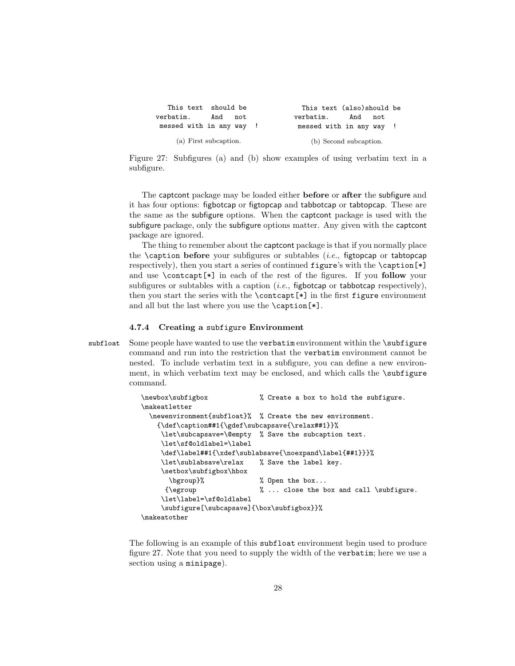| This text should be      |     |     |                          | This text (also) should be |     |     |  |
|--------------------------|-----|-----|--------------------------|----------------------------|-----|-----|--|
| verbatim.                | And | not | verbatim.                |                            | And | not |  |
| messed with in any way ! |     |     | messed with in any way ! |                            |     |     |  |
| (a) First subcaption.    |     |     |                          | (b) Second subcaption.     |     |     |  |

Figure 27: Subfigures (a) and (b) show examples of using verbatim text in a subfigure.

The captcont package may be loaded either before or after the subfigure and it has four options: figbotcap or figtopcap and tabbotcap or tabtopcap. These are the same as the subfigure options. When the captcont package is used with the subfigure package, only the subfigure options matter. Any given with the captcont package are ignored.

The thing to remember about the captcont package is that if you normally place the  $\zeta$  table of  $\zeta$  and  $\zeta$  is subfigures or subtables (*i.e.*, figtopcap or tabtopcap respectively), then you start a series of continued figure's with the \caption[\*] and use \contcapt[\*] in each of the rest of the figures. If you follow your subfigures or subtables with a caption (*i.e.*, figbotcap or tabbotcap respectively), then you start the series with the \contcapt[\*] in the first figure environment and all but the last where you use the \caption[\*].

#### 4.7.4 Creating a subfigure Environment

subfloat Some people have wanted to use the verbatim environment within the \subfigure command and run into the restriction that the verbatim environment cannot be nested. To include verbatim text in a subfigure, you can define a new environment, in which verbatim text may be enclosed, and which calls the **\subfigure** command.

```
\newbox\subfigbox % Create a box to hold the subfigure.
\makeatletter
 \newenvironment{subfloat}% % Create the new environment.
   {\def\caption##1{\gdef\subcapsave{\relax##1}}%
    \let\subcapsave=\@empty % Save the subcaption text.
    \let\sf@oldlabel=\label
    \def\label##1{\xdef\sublabsave{\noexpand\label{##1}}}%
    \let\sublabsave\relax % Save the label key.
    \setbox\subfigbox\hbox
      \bgroup}% % Open the box...
     {\egroup \% ... close the box and call \subfigure.
    \let\label=\sf@oldlabel
    \subfigure[\subcapsave]{\box\subfigbox}}%
\makeatother
```
The following is an example of this subfloat environment begin used to produce figure 27. Note that you need to supply the width of the verbatim; here we use a section using a minipage).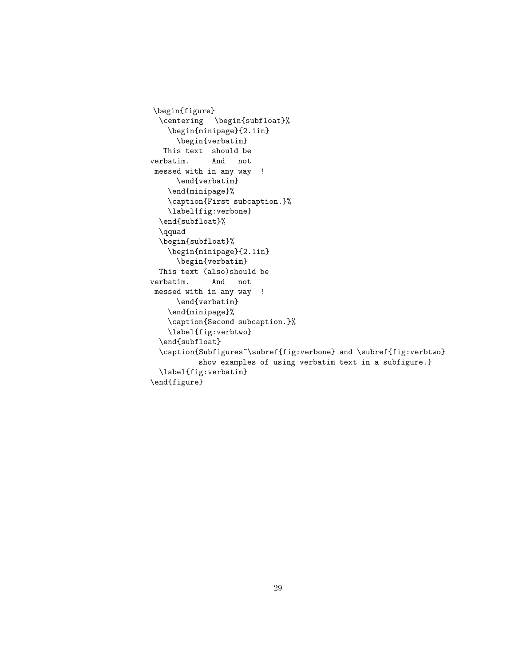```
\begin{figure}
 \centering \begin{subfloat}%
    \begin{minipage}{2.1in}
      \begin{verbatim}
   This text should be
verbatim. And not
messed with in any way !
     \end{verbatim}
    \end{minipage}%
    \caption{First subcaption.}%
    \label{fig:verbone}
  \end{subfloat}%
  \qquad
  \begin{subfloat}%
   \begin{minipage}{2.1in}
      \begin{verbatim}
 This text (also)should be
verbatim. And not
messed with in any way !
     \end{verbatim}
    \end{minipage}%
    \caption{Second subcaption.}%
    \label{fig:verbtwo}
  \end{subfloat}
  \caption{Subfigures~\subref{fig:verbone} and \subref{fig:verbtwo}
          show examples of using verbatim text in a subfigure.}
  \label{fig:verbatim}
\end{figure}
```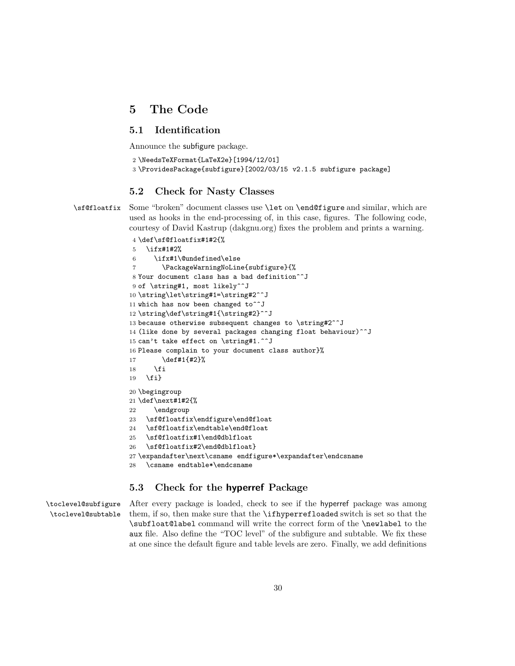## 5 The Code

### 5.1 Identification

Announce the subfigure package.

```
2 \NeedsTeXFormat{LaTeX2e}[1994/12/01]
```

```
3 \ProvidesPackage{subfigure}[2002/03/15 v2.1.5 subfigure package]
```
#### 5.2 Check for Nasty Classes

\sf@floatfix Some "broken" document classes use \let on \end@figure and similar, which are used as hooks in the end-processing of, in this case, figures. The following code, courtesy of David Kastrup (dakgnu.org) fixes the problem and prints a warning.

```
4 \def\sf@floatfix#1#2{%
5 \ifx#1#2%
6 \ifx#1\@undefined\else
7 \PackageWarningNoLine{subfigure}{%
8 Your document class has a bad definition^^J
9 of \string#1, most likely^^J
10 \string\let\string#1=\string#2^^J
11 which has now been changed to<sup>^^</sup>J
12 \string\def\string#1{\string#2}^^J
13 because otherwise subsequent changes to \string#2^^J
14 (like done by several packages changing float behaviour)^^J
15 can't take effect on \string#1.^^J
16 Please complain to your document class author}%
17 \def#1{#2}%
18 \fi
19 \fi}
20 \begingroup
21 \def\next#1#2{%
22 \endgroup
23 \sf@floatfix\endfigure\end@float
24 \sf@floatfix\endtable\end@float
25 \sf@floatfix#1\end@dblfloat
26 \sf@floatfix#2\end@dblfloat}
27 \expandafter\next\csname endfigure*\expandafter\endcsname
28 \csname endtable*\endcsname
```
#### 5.3 Check for the hyperref Package

\toclevel@subfigure \toclevel@subtable After every package is loaded, check to see if the hyperref package was among them, if so, then make sure that the \ifhyperrefloaded switch is set so that the \subfloat@label command will write the correct form of the \newlabel to the aux file. Also define the "TOC level" of the subfigure and subtable. We fix these at one since the default figure and table levels are zero. Finally, we add definitions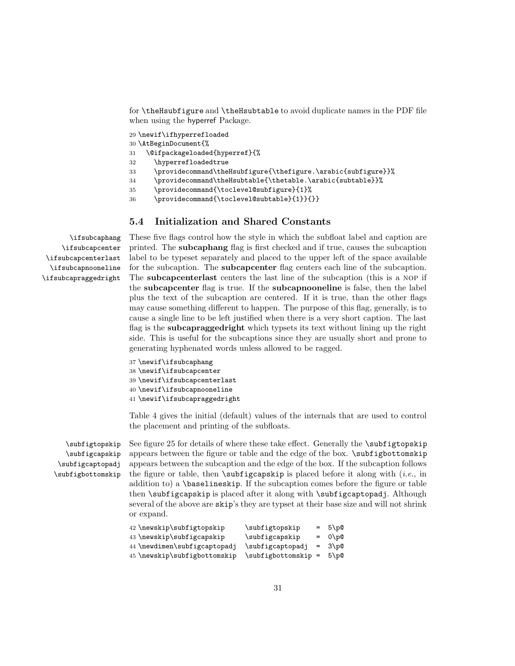for \theHsubfigure and \theHsubtable to avoid duplicate names in the PDF file when using the hyperref Package.

29 \newif\ifhyperrefloaded

- 30 \AtBeginDocument{%
- 31 \@ifpackageloaded{hyperref}{%
- 32 \hyperrefloadedtrue
- 33 \providecommand\theHsubfigure{\thefigure.\arabic{subfigure}}%
- 34 \providecommand\theHsubtable{\thetable.\arabic{subtable}}%
- 35 \providecommand{\toclevel@subfigure}{1}%
- 36 \providecommand{\toclevel@subtable}{1}}{}}

#### 5.4 Initialization and Shared Constants

\ifsubcaphang \ifsubcapcenter \ifsubcapcenterlast \ifsubcapnooneline \ifsubcapraggedright These five flags control how the style in which the subfloat label and caption are printed. The subcaphang flag is first checked and if true, causes the subcaption label to be typeset separately and placed to the upper left of the space available for the subcaption. The subcapcenter flag centers each line of the subcaption. The subcapcenterlast centers the last line of the subcaption (this is a nop if the subcapcenter flag is true. If the subcapnooneline is false, then the label plus the text of the subcaption are centered. If it is true, than the other flags may cause something different to happen. The purpose of this flag, generally, is to cause a single line to be left justified when there is a very short caption. The last flag is the subcapraggedright which typsets its text without lining up the right side. This is useful for the subcaptions since they are usually short and prone to generating hyphenated words unless allowed to be ragged.

```
37 \newif\ifsubcaphang
38 \newif\ifsubcapcenter
39 \newif\ifsubcapcenterlast
40 \newif\ifsubcapnooneline
41 \newif\ifsubcapraggedright
```
Table 4 gives the initial (default) values of the internals that are used to control the placement and printing of the subfloats.

\subfigtopskip \subfigcapskip \subfigcaptopadj \subfigbottomskip See figure 25 for details of where these take effect. Generally the **\subfigtopskip** appears between the figure or table and the edge of the box. \subfigbottomskip appears between the subcaption and the edge of the box. If the subcaption follows the figure or table, then  $\simeq$  subfigcapskip is placed before it along with (*i.e.*, in addition to) a \baselineskip. If the subcaption comes before the figure or table then \subfigcapskip is placed after it along with \subfigcaptopadj. Although several of the above are skip's they are typset at their base size and will not shrink or expand.

```
42 \neq 42 \newskip -3.5pt \text{supp} \subfigtopskip = 5\p@
43 \newskip\subfigcapskip \subfigcapskip = 0\p@
44 \newdimen\subfigcaptopadj \subfigcaptopadj = 3\p@
45 \newskip\subfigbottomskip \subfigbottomskip = 5\p@
```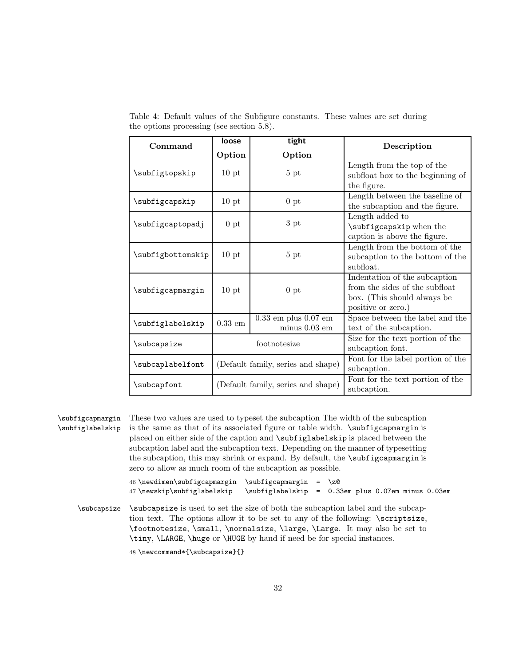| Command           | loose                              | tight                              | Description                       |  |  |  |  |  |  |
|-------------------|------------------------------------|------------------------------------|-----------------------------------|--|--|--|--|--|--|
|                   | Option                             | Option                             |                                   |  |  |  |  |  |  |
|                   |                                    |                                    | Length from the top of the        |  |  |  |  |  |  |
| \subfigtopskip    | 10 pt                              | 5 pt                               | subfloat box to the beginning of  |  |  |  |  |  |  |
|                   |                                    |                                    | the figure.                       |  |  |  |  |  |  |
|                   | 10 <sub>pt</sub>                   | 0pt                                | Length between the baseline of    |  |  |  |  |  |  |
| \subfigcapskip    |                                    |                                    | the subcaption and the figure.    |  |  |  |  |  |  |
|                   |                                    |                                    | Length added to                   |  |  |  |  |  |  |
| \subfigcaptopadj  | 0 pt                               | 3 pt                               | \subfigcapskip when the           |  |  |  |  |  |  |
|                   |                                    |                                    | caption is above the figure.      |  |  |  |  |  |  |
|                   |                                    |                                    | Length from the bottom of the     |  |  |  |  |  |  |
| \subfigbottomskip | 10 pt                              | 5 <sub>pt</sub>                    | subcaption to the bottom of the   |  |  |  |  |  |  |
|                   |                                    |                                    | subfloat.                         |  |  |  |  |  |  |
|                   |                                    |                                    | Indentation of the subcaption     |  |  |  |  |  |  |
| \subfigcapmargin  | 10 pt                              | 0 <sub>pt</sub>                    | from the sides of the subfloat    |  |  |  |  |  |  |
|                   |                                    |                                    | box. (This should always be       |  |  |  |  |  |  |
|                   |                                    |                                    | positive or zero.)                |  |  |  |  |  |  |
|                   | $0.33$ em                          | $0.33$ em plus $0.07$ em           | Space between the label and the   |  |  |  |  |  |  |
| \subfiglabelskip  |                                    | $minus 0.03$ em                    | text of the subcaption.           |  |  |  |  |  |  |
| \subcapsize       | footnotesize                       |                                    | Size for the text portion of the  |  |  |  |  |  |  |
|                   |                                    |                                    | subcaption font.                  |  |  |  |  |  |  |
|                   |                                    | (Default family, series and shape) | Font for the label portion of the |  |  |  |  |  |  |
| \subcaplabelfont  |                                    |                                    | subcaption.                       |  |  |  |  |  |  |
|                   | (Default family, series and shape) |                                    | Font for the text portion of the  |  |  |  |  |  |  |
| \subcapfont       |                                    |                                    | subcaption.                       |  |  |  |  |  |  |

Table 4: Default values of the Subfigure constants. These values are set during the options processing (see section 5.8).

| \subfigcapmargin                                                                                                                                           | These two values are used to typeset the subcaption The width of the subcaption                                                                                                                                                                                                                                             |  |  |  |  |  |  |  |  |
|------------------------------------------------------------------------------------------------------------------------------------------------------------|-----------------------------------------------------------------------------------------------------------------------------------------------------------------------------------------------------------------------------------------------------------------------------------------------------------------------------|--|--|--|--|--|--|--|--|
| \subfiglabelskip                                                                                                                                           | is the same as that of its associated figure or table width. $\sub{subfigcapmargin}$ is                                                                                                                                                                                                                                     |  |  |  |  |  |  |  |  |
|                                                                                                                                                            | placed on either side of the caption and \subfiglabelskip is placed between the<br>subcaption label and the subcaption text. Depending on the manner of typesetting                                                                                                                                                         |  |  |  |  |  |  |  |  |
|                                                                                                                                                            | the subcaption, this may shrink or expand. By default, the <b>\subfigual</b> capmargin is<br>zero to allow as much room of the subcaption as possible.                                                                                                                                                                      |  |  |  |  |  |  |  |  |
| 46 \newdimen\subfigcapmargin<br>\subfigcapmargin<br>$= \sqrt{z\omega}$<br>47\newskip\subfiglabelskip<br>\subfiglabelskip = 0.33em plus 0.07em minus 0.03em |                                                                                                                                                                                                                                                                                                                             |  |  |  |  |  |  |  |  |
| \subcapsize                                                                                                                                                | \subcapsize is used to set the size of both the subcaption label and the subcap-<br>tion text. The options allow it to be set to any of the following: \scriptsize,<br>\footnotesize, \small, \normalsize, \large, \Large. It may also be set to<br>\tiny, \LARGE, \huge or \HUGE by hand if need be for special instances. |  |  |  |  |  |  |  |  |
|                                                                                                                                                            | 48 \newcommand*{\subcapsize}{}                                                                                                                                                                                                                                                                                              |  |  |  |  |  |  |  |  |
|                                                                                                                                                            |                                                                                                                                                                                                                                                                                                                             |  |  |  |  |  |  |  |  |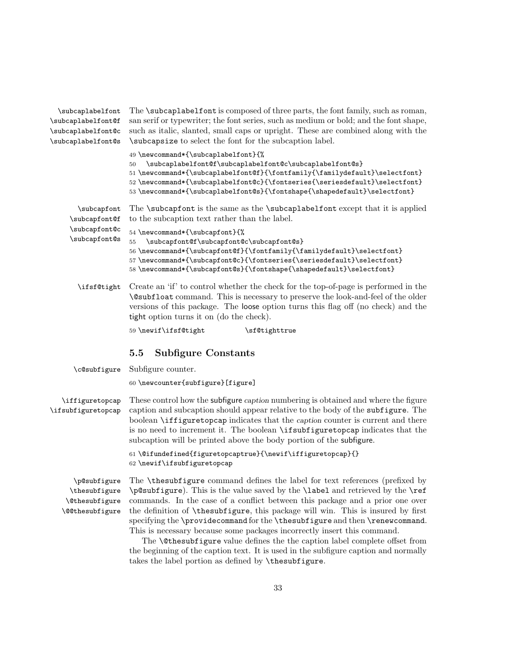| \subcaplabelfont   | The <b>\subcaplabelfont</b> is composed of three parts, the font family, such as roman,                                                                                                                                                                                                                                                        |
|--------------------|------------------------------------------------------------------------------------------------------------------------------------------------------------------------------------------------------------------------------------------------------------------------------------------------------------------------------------------------|
| \subcaplabelfont@f | san serif or typewriter; the font series, such as medium or bold; and the font shape,                                                                                                                                                                                                                                                          |
| \subcaplabelfont@c | such as italic, slanted, small caps or upright. These are combined along with the                                                                                                                                                                                                                                                              |
| \subcaplabelfont@s | \subcapsize to select the font for the subcaption label.                                                                                                                                                                                                                                                                                       |
|                    | 49 \newcommand*{\subcaplabelfont}{%<br>\subcaplabelfont@f\subcaplabelfont@c\subcaplabelfont@s}<br>50<br>51\newcommand*{\subcaplabelfont@f}{\fontfamily{\familydefault}\selectfont}<br>52 \newcommand*{\subcaplabelfont@c}{\fontseries{\seriesdefault}\selectfont}<br>53 \newcommand*{\subcaplabelfont@s}{\fontshape{\shapedefault}\selectfont} |
| \subcapfont        | The <i>subcapfont</i> is the same as the <i>subcaplabelfont</i> except that it is applied                                                                                                                                                                                                                                                      |
| \subcapfont@f      | to the subcaption text rather than the label.                                                                                                                                                                                                                                                                                                  |
| \subcapfont@c      | 54 \newcommand*{\subcapfont}{%                                                                                                                                                                                                                                                                                                                 |
| \subcapfont@s      | \subcapfont@f\subcapfont@c\subcapfont@s}<br>55                                                                                                                                                                                                                                                                                                 |
|                    | 56\newcommand*{\subcapfont@f}{\fontfamily{\familydefault}\selectfont}                                                                                                                                                                                                                                                                          |
|                    | 57\newcommand*{\subcapfont@c}{\fontseries{\seriesdefault}\selectfont}                                                                                                                                                                                                                                                                          |
|                    | 58\newcommand*{\subcapfont@s}{\fontshape{\shapedefault}\selectfont}                                                                                                                                                                                                                                                                            |
| \ifsf@tight        | Create an 'if' to control whether the check for the top-of-page is performed in the<br>\@subfloat command. This is necessary to preserve the look-and-feel of the older<br>versions of this package. The loose option turns this flag off (no check) and the<br>tight option turns it on (do the check).                                       |
|                    | 59 \newif\ifsf@tight<br>\sf@tighttrue                                                                                                                                                                                                                                                                                                          |
|                    |                                                                                                                                                                                                                                                                                                                                                |

#### 5.5 Subfigure Constants

\c@subfigure Subfigure counter.

60 \newcounter{subfigure}[figure]

\iffiguretopcap \ifsubfiguretopcap These control how the subfigure caption numbering is obtained and where the figure caption and subcaption should appear relative to the body of the subfigure. The boolean \iffiguretopcap indicates that the caption counter is current and there is no need to increment it. The boolean \ifsubfiguretopcap indicates that the subcaption will be printed above the body portion of the subfigure.

> 61 \@ifundefined{figuretopcaptrue}{\newif\iffiguretopcap}{} 62 \newif\ifsubfiguretopcap

\p@subfigure \thesubfigure \@thesubfigure \@@thesubfigure

The \thesubfigure command defines the label for text references (prefixed by \p@subfigure). This is the value saved by the \label and retrieved by the \ref commands. In the case of a conflict between this package and a prior one over the definition of \thesubfigure, this package will win. This is insured by first specifying the \providecommand for the \thesubfigure and then \renewcommand. This is necessary because some packages incorrectly insert this command.

The **\@thesubfigure** value defines the the caption label complete offset from the beginning of the caption text. It is used in the subfigure caption and normally takes the label portion as defined by \thesubfigure.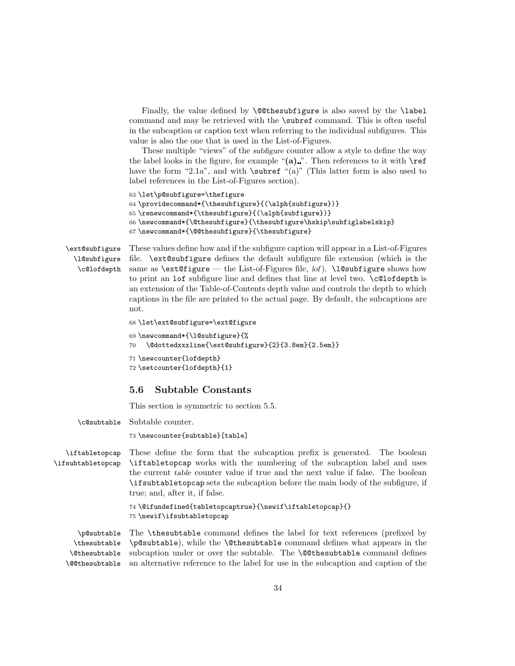Finally, the value defined by  $\@thinspace\searrow\@thinspace\searrow\@thinspace\searrow\@thinspace\searrow\@thinspace\searrow\@thinspace\searrow\@thinspace\searrow\@thinspace\searrow\@thinspace\searrow\@thinspace\searrow\@thinspace\searrow\@thinspace\searrow\@thinspace\searrow\@thinspace\searrow\@thinspace\searrow\@thinspace\searrow\@thinspace\searrow\@thinspace\searrow\@thinspace\searrow\@thinspace\searrow\@thinspace\searrow\@thinspace\searrow\@thinspace\searrow\@thinspace\searrow\@thinspace\searrow\@thinspace\searrow\@thinspace\searrow\$ command and may be retrieved with the \subref command. This is often useful in the subcaption or caption text when referring to the individual subfigures. This value is also the one that is used in the List-of-Figures.

These multiple "views" of the *subfigure* counter allow a style to define the way the label looks in the figure, for example " $(a)$ ". Then references to it with  $\ref{eq:1}$ have the form "2.1a", and with **\subref** "(a)" (This latter form is also used to label references in the List-of-Figures section).

```
63 \let\p@subfigure=\thefigure
```

```
64 \providecommand*{\thesubfigure}{(\alph{subfigure})}
65 \renewcommand*{\thesubfigure}{(\alph{subfigure})}
66 \newcommand*{\@thesubfigure}{\thesubfigure\hskip\subfiglabelskip}
```

```
67 \newcommand*{\@@thesubfigure}{\thesubfigure}
```
\ext@subfigure \l@subfigure \c@lofdepth

These values define how and if the subfigure caption will appear in a List-of-Figures file. \ext@subfigure defines the default subfigure file extension (which is the same as  $\text{figure}$  — the List-of-Figures file, lof).  $\text{logustigure}$  shows how to print an lof subfigure line and defines that line at level two. \c@lofdepth is an extension of the Table-of-Contents depth value and controls the depth to which captions in the file are printed to the actual page. By default, the subcaptions are not.

```
68 \let\ext@subfigure=\ext@figure
```

```
69 \newcommand*{\l@subfigure}{%
70 \@dottedxxxline{\ext@subfigure}{2}{3.8em}{2.5em}}
```

```
71 \newcounter{lofdepth}
72 \setcounter{lofdepth}{1}
```
### 5.6 Subtable Constants

This section is symmetric to section 5.5.

\c@subtable Subtable counter.

73 \newcounter{subtable}[table]

\iftabletopcap \ifsubtabletopcap These define the form that the subcaption prefix is generated. The boolean \iftabletopcap works with the numbering of the subcaption label and uses the current table counter value if true and the next value if false. The boolean \ifsubtabletopcap sets the subcaption before the main body of the subfigure, if true; and, after it, if false.

> 74 \@ifundefined{tabletopcaptrue}{\newif\iftabletopcap}{} 75 \newif\ifsubtabletopcap

\p@subtable \thesubtable \@thesubtable \@@thesubtable The \thesubtable command defines the label for text references (prefixed by \p@subtable), while the \@thesubtable command defines what appears in the subcaption under or over the subtable. The \@@thesubtable command defines an alternative reference to the label for use in the subcaption and caption of the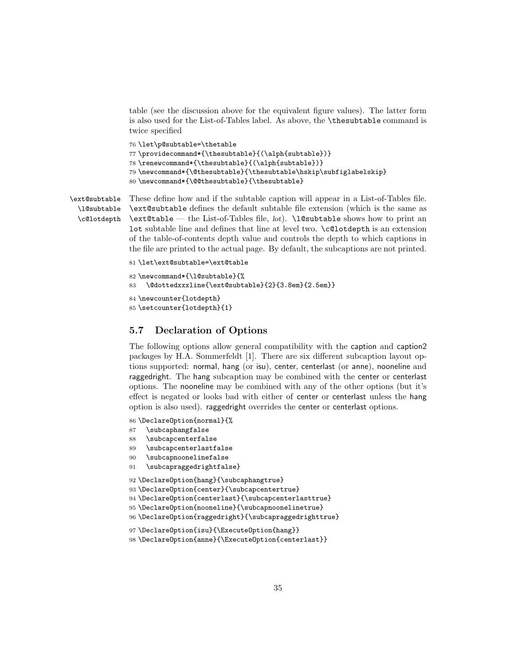table (see the discussion above for the equivalent figure values). The latter form is also used for the List-of-Tables label. As above, the \thesubtable command is twice specified

```
76 \let\p@subtable=\thetable
```

```
77 \providecommand*{\thesubtable}{(\alph{subtable})}
```
78 \renewcommand\*{\thesubtable}{(\alph{subtable})}

```
79 \newcommand*{\@thesubtable}{\thesubtable\hskip\subfiglabelskip}
```

```
80 \newcommand*{\@@thesubtable}{\thesubtable}
```
\ext@subtable \l@subtable \c@lotdepth

These define how and if the subtable caption will appear in a List-of-Tables file. \ext@subtable defines the default subtable file extension (which is the same as  $\text{table}$  — the List-of-Tables file, lot).  $\lnot$  l@subtable shows how to print an lot subtable line and defines that line at level two. \c@lotdepth is an extension of the table-of-contents depth value and controls the depth to which captions in the file are printed to the actual page. By default, the subcaptions are not printed.

```
81 \let\ext@subtable=\ext@table
82 \newcommand*{\l@subtable}{%
83 \@dottedxxxline{\ext@subtable}{2}{3.8em}{2.5em}}
84 \newcounter{lotdepth}
85 \setcounter{lotdepth}{1}
```
#### 5.7 Declaration of Options

The following options allow general compatibility with the caption and caption2 packages by H.A. Sommerfeldt [1]. There are six different subcaption layout options supported: normal, hang (or isu), center, centerlast (or anne), nooneline and raggedright. The hang subcaption may be combined with the center or centerlast options. The nooneline may be combined with any of the other options (but it's effect is negated or looks bad with either of center or centerlast unless the hang option is also used). raggedright overrides the center or centerlast options.

86 \DeclareOption{normal}{%

```
87 \subcaphangfalse
```

```
88 \subcapcenterfalse
```

```
89 \subcapcenterlastfalse
```

```
90 \subcapnoonelinefalse
```

```
91 \subcapraggedrightfalse}
```

```
92 \DeclareOption{hang}{\subcaphangtrue}
```

```
93 \DeclareOption{center}{\subcapcentertrue}
```

```
94 \DeclareOption{centerlast}{\subcapcenterlasttrue}
```

```
95 \DeclareOption{nooneline}{\subcapnoonelinetrue}
```

```
96 \DeclareOption{raggedright}{\subcapraggedrighttrue}
```

```
97 \DeclareOption{isu}{\ExecuteOption{hang}}
```

```
98 \DeclareOption{anne}{\ExecuteOption{centerlast}}
```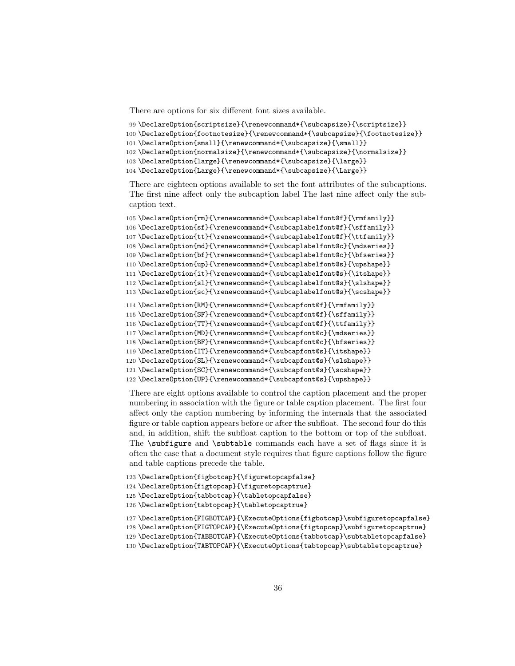There are options for six different font sizes available.

```
99 \DeclareOption{scriptsize}{\renewcommand*{\subcapsize}{\scriptsize}}
```

```
100 \DeclareOption{footnotesize}{\renewcommand*{\subcapsize}{\footnotesize}}
```

```
101 \DeclareOption{small}{\renewcommand*{\subcapsize}{\small}}
```
\DeclareOption{normalsize}{\renewcommand\*{\subcapsize}{\normalsize}}

```
103 \DeclareOption{large}{\renewcommand*{\subcapsize}{\large}}
```

```
104 \DeclareOption{Large}{\renewcommand*{\subcapsize}{\Large}}
```
There are eighteen options available to set the font attributes of the subcaptions. The first nine affect only the subcaption label The last nine affect only the subcaption text.

```
105 \DeclareOption{rm}{\renewcommand*{\subcaplabelfont@f}{\rmfamily}}
106 \DeclareOption{sf}{\renewcommand*{\subcaplabelfont@f}{\sffamily}}
107 \DeclareOption{tt}{\renewcommand*{\subcaplabelfont@f}{\ttfamily}}
108 \DeclareOption{md}{\renewcommand*{\subcaplabelfont@c}{\mdseries}}
109 \DeclareOption{bf}{\renewcommand*{\subcaplabelfont@c}{\bfseries}}
110 \DeclareOption{up}{\renewcommand*{\subcaplabelfont@s}{\upshape}}
111 \DeclareOption{it}{\renewcommand*{\subcaplabelfont@s}{\itshape}}
112 \DeclareOption{sl}{\renewcommand*{\subcaplabelfont@s}{\slshape}}
113\DeclareOption{sc}{\renewcommand*{\subcaplabelfont@s}{\scshape}}
114 \DeclareOption{RM}{\renewcommand*{\subcapfont@f}{\rmfamily}}
115 \DeclareOption{SF}{\renewcommand*{\subcapfont@f}{\sffamily}}
116 \DeclareOption{TT}{\renewcommand*{\subcapfont@f}{\ttfamily}}
117 \DeclareOption{MD}{\renewcommand*{\subcapfont@c}{\mdseries}}
118 \DeclareOption{BF}{\renewcommand*{\subcapfont@c}{\bfseries}}
119 \DeclareOption{IT}{\renewcommand*{\subcapfont@s}{\itshape}}
120 \DeclareOption{SL}{\renewcommand*{\subcapfont@s}{\slshape}}
121 \DeclareOption{SC}{\renewcommand*{\subcapfont@s}{\scshape}}
122 \DeclareOption{UP}{\renewcommand*{\subcapfont@s}{\upshape}}
```
There are eight options available to control the caption placement and the proper numbering in association with the figure or table caption placement. The first four affect only the caption numbering by informing the internals that the associated figure or table caption appears before or after the subfloat. The second four do this and, in addition, shift the subfloat caption to the bottom or top of the subfloat. The \subfigure and \subtable commands each have a set of flags since it is often the case that a document style requires that figure captions follow the figure and table captions precede the table.

```
123 \DeclareOption{figbotcap}{\figuretopcapfalse}
```

```
124 \DeclareOption{figtopcap}{\figuretopcaptrue}
```

```
125 \DeclareOption{tabbotcap}{\tabletopcapfalse}
```

```
126 \DeclareOption{tabtopcap}{\tabletopcaptrue}
```

```
127 \DeclareOption{FIGBOTCAP}{\ExecuteOptions{figbotcap}\subfiguretopcapfalse}
```

```
128 \DeclareOption{FIGTOPCAP}{\ExecuteOptions{figtopcap}\subfiguretopcaptrue}
```

```
129 \DeclareOption{TABBOTCAP}{\ExecuteOptions{tabbotcap}\subtabletopcapfalse}
```

```
130 \DeclareOption{TABTOPCAP}{\ExecuteOptions{tabtopcap}\subtabletopcaptrue}
```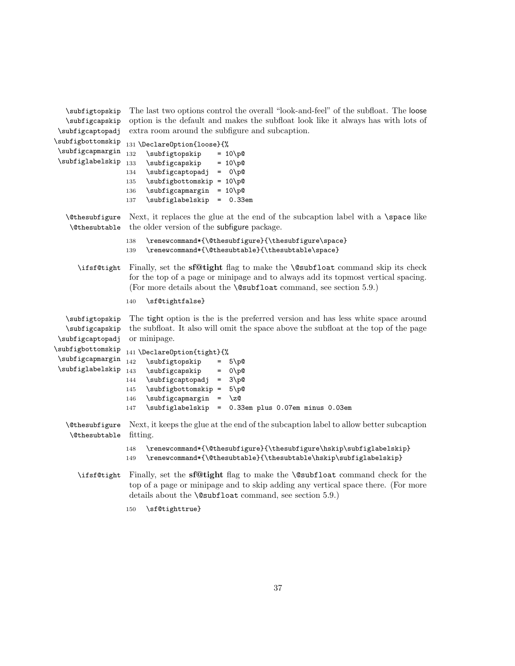| \subfigtopskip<br>\subfigcapskip<br>\subfigcaptopadj        | The last two options control the overall "look-and-feel" of the subfloat. The loose<br>option is the default and makes the subfloat look like it always has with lots of<br>extra room around the subfigure and subcaption.                                                                            |
|-------------------------------------------------------------|--------------------------------------------------------------------------------------------------------------------------------------------------------------------------------------------------------------------------------------------------------------------------------------------------------|
| \subfigbottomskip<br>\subfigcapmargin<br>\subfiglabelskip   | 131 \DeclareOption{loose}{%<br>132<br>\subfigtopskip<br>$= 10 \pmod{p}$<br>133<br>\subfigcapskip<br>$= 10 \pmod{p}$<br>\subfigcaptopadj<br>$= 0\pp0$<br>134<br>\subfigbottomskip = 10\p@<br>135<br>$\verb \subfigcapmargin $<br>$= 10$ p<br>136<br>\subfiglabelskip<br>$= 0.33em$<br>137               |
| <i><b>\@thesubfigure</b></i><br><i><b>\@thesubtable</b></i> | Next, it replaces the glue at the end of the subcaption label with a \space like<br>the older version of the subfigure package.                                                                                                                                                                        |
|                                                             | \renewcommand*{\@thesubfigure}{\thesubfigure\space}<br>138<br>\renewcommand*{\@thesubtable}{\thesubtable\space}<br>139                                                                                                                                                                                 |
| \ifsf@tight                                                 | Finally, set the <b>sf@tight</b> flag to make the <b>\@subfloat</b> command skip its check<br>for the top of a page or minipage and to always add its topmost vertical spacing.<br>(For more details about the $\&subfloat$ command, see section 5.9.)                                                 |
|                                                             | 140<br>\sf@tightfalse}                                                                                                                                                                                                                                                                                 |
| \subfigtopskip<br>\subfigcapskip<br>\subfigcaptopadj        | The tight option is the is the preferred version and has less white space around<br>the subfloat. It also will omit the space above the subfloat at the top of the page<br>or minipage.                                                                                                                |
| \subfigbottomskip<br>\subfigcapmargin<br>\subfiglabelskip   | 141 \DeclareOption{tight}{%<br>142<br>\subfigtopskip<br>$5\$ 9<br>$=$<br>143<br>\subfigcapskip<br>$0\$<br>$=$<br>\subfigcaptopadj<br>$3\$<br>144<br>$\equiv$<br>\subfigbottomskip =<br>$5\$<br>145<br>\subfigcapmargin =<br>\z@<br>146<br>\subfiglabelskip =<br>0.33em plus 0.07em minus 0.03em<br>147 |
| <i><b>\@thesubfigure</b></i><br><i><b>\@thesubtable</b></i> | Next, it keeps the glue at the end of the subcaption label to allow better subcaption<br>fitting.                                                                                                                                                                                                      |
|                                                             | \renewcommand*{\@thesubfigure}{\thesubfigure\hskip\subfiglabelskip}<br>148<br>\renewcommand*{\@thesubtable}{\thesubtable\hskip\subfiglabelskip}<br>149                                                                                                                                                 |
| \ifsf@tight                                                 | Finally, set the sf@tight flag to make the <i>\@subfloat command check</i> for the<br>top of a page or minipage and to skip adding any vertical space there. (For more<br>details about the <b>\@subfloat</b> command, see section 5.9.)                                                               |
|                                                             | \sf@tighttrue}<br>150                                                                                                                                                                                                                                                                                  |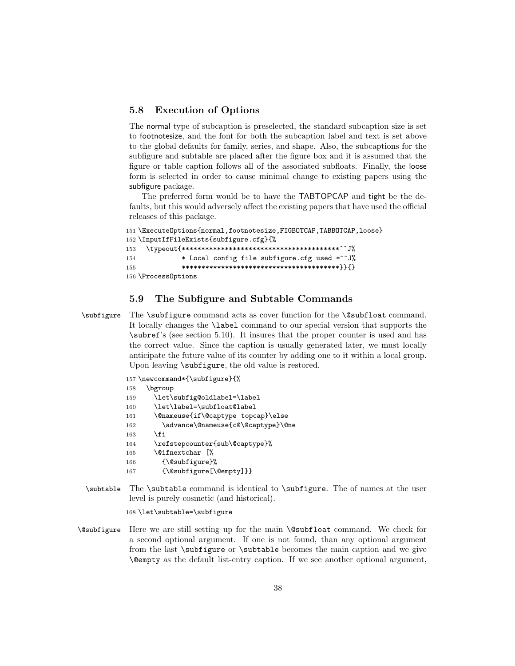#### 5.8 Execution of Options

The normal type of subcaption is preselected, the standard subcaption size is set to footnotesize, and the font for both the subcaption label and text is set above to the global defaults for family, series, and shape. Also, the subcaptions for the subfigure and subtable are placed after the figure box and it is assumed that the figure or table caption follows all of the associated subfloats. Finally, the loose form is selected in order to cause minimal change to existing papers using the subfigure package.

The preferred form would be to have the TABTOPCAP and tight be the defaults, but this would adversely affect the existing papers that have used the official releases of this package.

```
151 \ExecuteOptions{normal,footnotesize,FIGBOTCAP,TABBOTCAP,loose}
152 \InputIfFileExists{subfigure.cfg}{%
153 \typeout{****************************************^^J%
154 * Local config file subfigure.cfg used *^^J%
155 ****************************************}}{}
156 \ProcessOptions
```
#### 5.9 The Subfigure and Subtable Commands

\subfigure The \subfigure command acts as cover function for the \@subfloat command. It locally changes the \label command to our special version that supports the \subref's (see section 5.10). It insures that the proper counter is used and has the correct value. Since the caption is usually generated later, we must locally anticipate the future value of its counter by adding one to it within a local group. Upon leaving  $\sub{supfigure}$ , the old value is restored.

|     | 157 \newcommand*{\subfigure}{%                            |
|-----|-----------------------------------------------------------|
| 158 | \bgroup                                                   |
| 159 | \let\subfig@oldlabel=\label                               |
| 160 | \let\label=\subfloat@label                                |
| 161 | \@nameuse{if\@captype topcap}\else                        |
| 162 | \advance\@nameuse{c@\@captype}\@ne                        |
| 163 | \fi                                                       |
| 164 | \refstepcounter{sub\@captype}%                            |
| 165 | \@ifnextchar [%                                           |
| 166 | $\{\Diamond \text{subfigure}\}\$                          |
| 167 | $\{\Diamond \text{Subfigure}[\Diamond \text{empty}]\} \}$ |
|     |                                                           |

\subtable The \subtable command is identical to \subfigure. The of names at the user level is purely cosmetic (and historical).

168 \let\subtable=\subfigure

\@subfigure Here we are still setting up for the main \@subfloat command. We check for a second optional argument. If one is not found, than any optional argument from the last \subfigure or \subtable becomes the main caption and we give \@empty as the default list-entry caption. If we see another optional argument,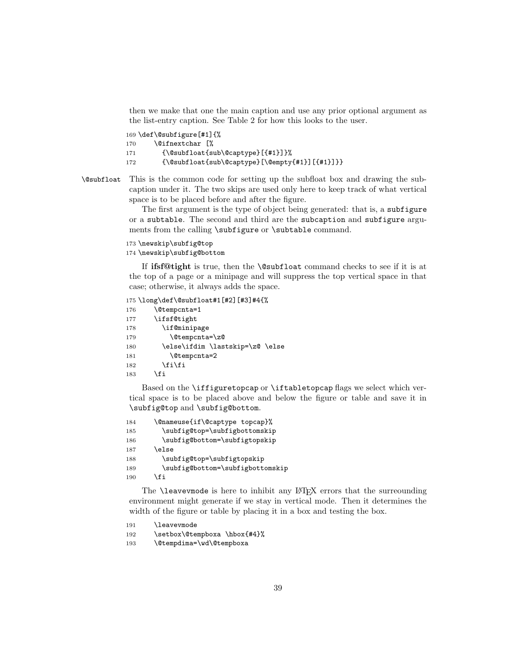then we make that one the main caption and use any prior optional argument as the list-entry caption. See Table 2 for how this looks to the user.

169 \def\@subfigure[#1]{%

- 170 \@ifnextchar [%
- 171 {\@subfloat{sub\@captype}[{#1}]}%

172 {\@subfloat{sub\@captype}[\@empty{#1}][{#1}]}}

\@subfloat This is the common code for setting up the subfloat box and drawing the subcaption under it. The two skips are used only here to keep track of what vertical space is to be placed before and after the figure.

> The first argument is the type of object being generated: that is, a subfigure or a subtable. The second and third are the subcaption and subfigure arguments from the calling \subfigure or \subtable command.

173 \newskip\subfig@top 174 \newskip\subfig@bottom

If ifsf@tight is true, then the \@subfloat command checks to see if it is at the top of a page or a minipage and will suppress the top vertical space in that case; otherwise, it always adds the space.

175 \long\def\@subfloat#1[#2][#3]#4{% 176 \@tempcnta=1 177 \ifsf@tight 178 \if@minipage 179 \@tempcnta=\z@ 180 \else\ifdim \lastskip=\z@ \else 181 \@tempcnta=2 182  $\ifmmode \text{if} \text{if } i \text{ } \fi$  $183$  \fi

Based on the \iffiguretopcap or \iftabletopcap flags we select which vertical space is to be placed above and below the figure or table and save it in \subfig@top and \subfig@bottom.

184 \@nameuse{if\@captype topcap}% 185 \subfig@top=\subfigbottomskip 186 \subfig@bottom=\subfigtopskip 187 \else 188 \subfig@top=\subfigtopskip 189 \subfig@bottom=\subfigbottomskip  $190$  \fi

The **\leavevmode** is here to inhibit any LAT<sub>E</sub>X errors that the surreounding environment might generate if we stay in vertical mode. Then it determines the width of the figure or table by placing it in a box and testing the box.

```
191 \leavevmode
192 \setbox\@tempboxa \hbox{#4}%
193 \@tempdima=\wd\@tempboxa
```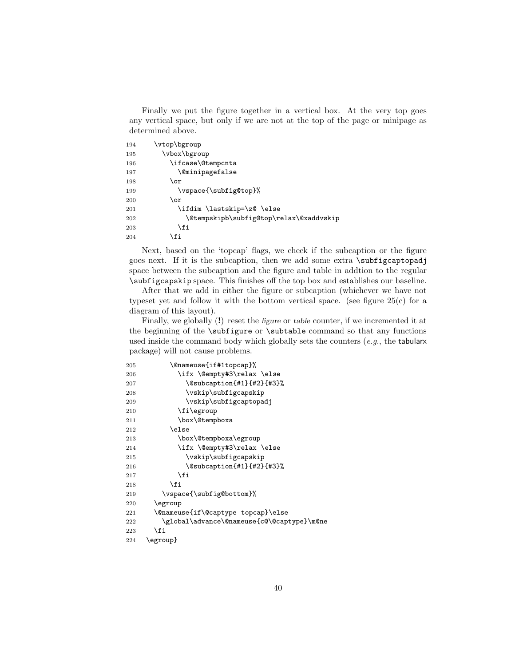Finally we put the figure together in a vertical box. At the very top goes any vertical space, but only if we are not at the top of the page or minipage as determined above.

| 194 | \vtop\bgroup                            |
|-----|-----------------------------------------|
| 195 | \vbox\bgroup                            |
| 196 | \ifcase\@tempcnta                       |
| 197 | <i><b>\@minipagefalse</b></i>           |
| 198 | \or                                     |
| 199 | \vspace{\subfig@top}%                   |
| 200 | \or                                     |
| 201 | \ifdim \lastskip=\z@ \else              |
| 202 | \@tempskipb\subfig@top\relax\@xaddvskip |
| 203 | <b>\fi</b>                              |
| 204 | \fi                                     |

Next, based on the 'topcap' flags, we check if the subcaption or the figure goes next. If it is the subcaption, then we add some extra \subfigcaptopadj space between the subcaption and the figure and table in addtion to the regular \subfigcapskip space. This finishes off the top box and establishes our baseline.

After that we add in either the figure or subcaption (whichever we have not typeset yet and follow it with the bottom vertical space. (see figure  $25(c)$  for a diagram of this layout).

Finally, we globally (!) reset the figure or table counter, if we incremented it at the beginning of the \subfigure or \subtable command so that any functions used inside the command body which globally sets the counters  $(e.g.,$  the tabularx package) will not cause problems.

| 205 | \@nameuse{if#1topcap}%                     |
|-----|--------------------------------------------|
| 206 | \ifx \@empty#3\relax \else                 |
| 207 | \@subcaption{#1}{#2}{#3}%                  |
| 208 | \vskip\subfigcapskip                       |
| 209 | \vskip\subfigcaptopadj                     |
| 210 | \fi\egroup                                 |
| 211 | \box\@tempboxa                             |
| 212 | \else                                      |
| 213 | \box\@tempboxa\egroup                      |
| 214 | \ifx \@empty#3\relax \else                 |
| 215 | \vskip\subfigcapskip                       |
| 216 | \@subcaption{#1}{#2}{#3}%                  |
| 217 | <b>\fi</b>                                 |
| 218 | \fi                                        |
| 219 | \vspace{\subfig@bottom}%                   |
| 220 | \egroup                                    |
| 221 | \@nameuse{if\@captype topcap}\else         |
| 222 | \global\advance\@nameuse{c@\@captype}\m@ne |
| 223 | \fi                                        |
| 224 | \egroup}                                   |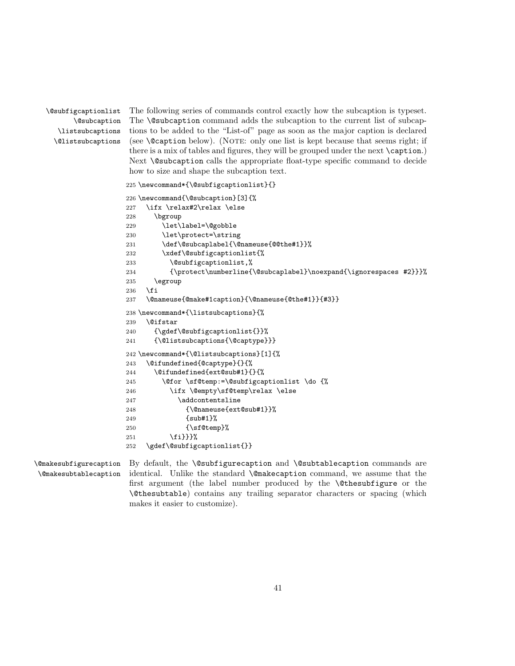\@subfigcaptionlist \@subcaption \listsubcaptions \@listsubcaptions The following series of commands control exactly how the subcaption is typeset. The \@subcaption command adds the subcaption to the current list of subcaptions to be added to the "List-of" page as soon as the major caption is declared (see \@caption below). (Note: only one list is kept because that seems right; if there is a mix of tables and figures, they will be grouped under the next \caption.) Next **\@subcaption** calls the appropriate float-type specific command to decide how to size and shape the subcaption text.

```
225 \newcommand*{\@subfigcaptionlist}{}
226 \newcommand{\@subcaption}[3]{%
227 \ifx \relax#2\relax \else
228 \bgroup
229 \let\label=\@gobble
230 \let\protect=\string
231 \def\@subcaplabel{\@nameuse{@@the#1}}%
232 \xdef\@subfigcaptionlist{%
233 \@subfigcaptionlist,%
234 {\protect\numberline{\@subcaplabel}\noexpand{\ignorespaces #2}}}%
235 \egroup
236 \fi
237 \@nameuse{@make#1caption}{\@nameuse{@the#1}}{#3}}
238 \newcommand*{\listsubcaptions}{%
239 \@ifstar
240 {\gdef\@subfigcaptionlist{}}%
241 {\@listsubcaptions{\@captype}}}
242 \newcommand*{\@listsubcaptions}[1]{%
243 \@ifundefined{@captype}{}{%
244 \@difundefined{ext@sub#1}{}{%
245 \@for \sf@temp:=\@subfigcaptionlist \do {%
246 \ifx \@empty\sf@temp\relax \else
247 \addcontentsline
248 {\@nameuse{ext@sub#1}}%
249 {sub#1}%
250 {\sf@temp}%
251 \{f_i\}252 \gdef\@subfigcaptionlist{}}
```

```
\@makesubfigurecaption
\@makesubtablecaption
```
By default, the \@subfigurecaption and \@subtablecaption commands are identical. Unlike the standard \@makecaption command, we assume that the first argument (the label number produced by the \@thesubfigure or the \@thesubtable) contains any trailing separator characters or spacing (which makes it easier to customize).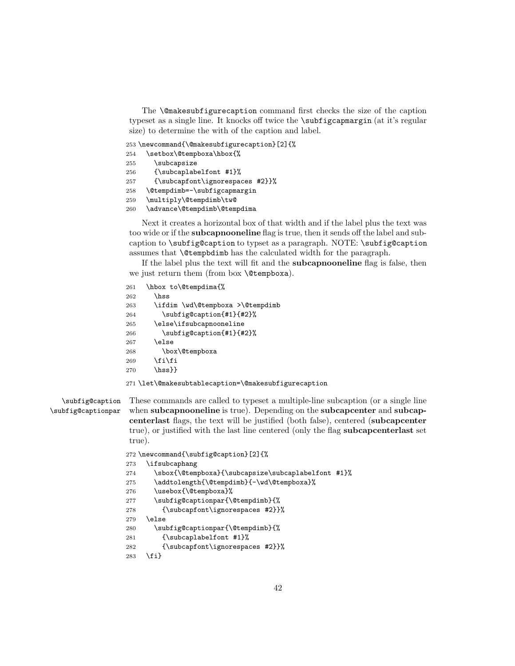The \@makesubfigurecaption command first checks the size of the caption typeset as a single line. It knocks off twice the \subfigcapmargin (at it's regular size) to determine the with of the caption and label.

253 \newcommand{\@makesubfigurecaption}[2]{% 254 \setbox\@tempboxa\hbox{%

255 \subcapsize {\subcaplabelfont #1}% {\subcapfont\ignorespaces #2}}% \@tempdimb=-\subfigcapmargin \multiply\@tempdimb\tw@ \advance\@tempdimb\@tempdima

Next it creates a horizontal box of that width and if the label plus the text was too wide or if the subcapnooneline flag is true, then it sends off the label and subcaption to \subfig@caption to typset as a paragraph. NOTE: \subfig@caption assumes that \@tempbdimb has the calculated width for the paragraph.

If the label plus the text will fit and the **subcapnooneline** flag is false, then we just return them (from box **\@tempboxa**).

```
261 \hbox to\@tempdima{%
262 \hss
263 \ifdim \wd\@tempboxa >\@tempdimb
264 \subfig@caption{#1}{#2}%
265 \else\ifsubcapnooneline
266 \subfig@caption{#1}{#2}%
267 \else
268 \box\@tempboxa
269 \fi\fi
270 \hss } }
271 \let\@makesubtablecaption=\@makesubfigurecaption
```
\subfig@caption \subfig@captionpar These commands are called to typeset a multiple-line subcaption (or a single line when subcapnooneline is true). Depending on the subcapcenter and subcapcenterlast flags, the text will be justified (both false), centered (subcapcenter true), or justified with the last line centered (only the flag subcapcenterlast set true).

```
272 \newcommand{\subfig@caption}[2]{%
273 \ifsubcaphang
274 \sbox{\@tempboxa}{\subcapsize\subcaplabelfont #1}%
275 \addtolength{\@tempdimb}{-\wd\@tempboxa}%
276 \usebox{\@tempboxa}%
277 \subfig@captionpar{\@tempdimb}{%
278 {\subcapfont\ignorespaces #2}}%
279 \else
280 \subfig@captionpar{\@tempdimb}{%
281 {\subcaplabelfont #1}%
282 {\subcapfont\ignorespaces #2}}%
283 \fi}
```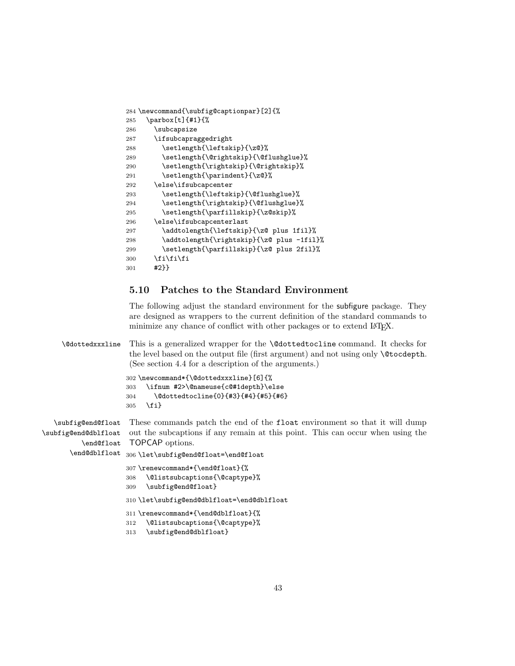```
284 \newcommand{\subfig@captionpar}[2]{%
285 \parbox[t]{#1}{%
286 \subcapsize
287 \ifsubcapraggedright
288 \setlength{\leftskip}{\z@}%
289 \setlength{\@rightskip}{\@flushglue}%
290 \setlength{\rightskip}{\@rightskip}%
291 \setlength{\parindent}{\z@}%
292 \else\ifsubcapcenter
293 \setlength{\leftskip}{\@flushglue}%
294 \setlength{\rightskip}{\@flushglue}%
295 \setlength{\parfillskip}{\z@skip}%
296 \else\ifsubcapcenterlast
297 \addtolength{\leftskip}{\z@ plus 1fil}%
298 \addtolength{\rightskip}{\z@ plus -1fil}%
299 \setlength{\parfillskip}{\z@ plus 2fil}%
300 \if{ififif}301 #2}}
```
#### 5.10 Patches to the Standard Environment

The following adjust the standard environment for the subfigure package. They are designed as wrappers to the current definition of the standard commands to minimize any chance of conflict with other packages or to extend IAT<sub>E</sub>X.

\@dottedxxxline This is a generalized wrapper for the \@dottedtocline command. It checks for the level based on the output file (first argument) and not using only \@tocdepth. (See section 4.4 for a description of the arguments.)

```
302 \newcommand*{\@dottedxxxline}[6]{%
303 \ifnum #2>\@nameuse{c@#1depth}\else
304 \@dottedtocline{0}{#3}{#4}{#5}{#6}
305 \fi}
```
\subfig@end@float \subfig@end@dblfloat \end@float \end@dblfloat 306\let\subfig@end@float=\end@float These commands patch the end of the float environment so that it will dump out the subcaptions if any remain at this point. This can occur when using the TOPCAP options.

```
307 \renewcommand*{\end@float}{%
308 \@listsubcaptions{\@captype}%
309 \subfig@end@float}
310 \let\subfig@end@dblfloat=\end@dblfloat
311 \renewcommand*{\end@dblfloat}{%
312 \@listsubcaptions{\@captype}%
313 \subfig@end@dblfloat}
```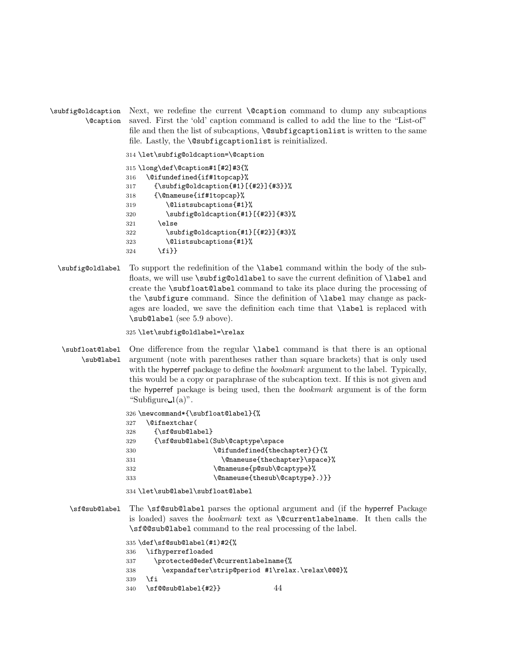```
\subfig@oldcaption
         \@caption
                    Next, we redefine the current \@caption command to dump any subcaptions
                    saved. First the 'old' caption command is called to add the line to the "List-of"
                    file and then the list of subcaptions, \@subfigcaptionlist is written to the same
                    file. Lastly, the \@subfigcaptionlist is reinitialized.
```
314 \let\subfig@oldcaption=\@caption

```
315 \long\def\@caption#1[#2]#3{%
316 \@ifundefined{if#1topcap}%
317 {\subfig@oldcaption{#1}[{#2}]{#3}}%
318 {\@nameuse{if#1topcap}%
319 \@listsubcaptions{#1}%
320 \subfig@oldcaption{#1}[{#2}]{#3}%
321 \text{le}322 \subfig@oldcaption{#1}[{#2}]{#3}%
323 \@listsubcaptions{#1}%
324 \fi}}
```
\subfig@oldlabel To support the redefinition of the \label command within the body of the subfloats, we will use \subfig@oldlabel to save the current definition of \label and create the \subfloat@label command to take its place during the processing of the \subfigure command. Since the definition of \label may change as packages are loaded, we save the definition each time that \label is replaced with \sub@label (see 5.9 above).

325 \let\subfig@oldlabel=\relax

\subfloat@label \sub@label One difference from the regular \label command is that there is an optional argument (note with parentheses rather than square brackets) that is only used with the hyperref package to define the *bookmark* argument to the label. Typically, this would be a copy or paraphrase of the subcaption text. If this is not given and the hyperref package is being used, then the bookmark argument is of the form "Subfigure  $1(a)$ ".

326 \newcommand\*{\subfloat@label}{%

```
327 \@ifnextchar(
```

| 328 | {\sf@sub@label}                   |
|-----|-----------------------------------|
| 329 | {\sf@sub@label(Sub\@captype\space |
| 330 | \@ifundefined{thechapter}{}{%     |
| 331 | \@nameuse{thechapter}\space}%     |
| 332 | \@nameuse{p@sub\@captype}%        |
| 333 | \@nameuse{thesub\@captype}.)}}    |

334 \let\sub@label\subfloat@label

\sf@sub@label The \sf@sub@label parses the optional argument and (if the hyperref Package is loaded) saves the bookmark text as \@currentlabelname. It then calls the \sf@@sub@label command to the real processing of the label.

```
335 \def\sf@sub@label(#1)#2{%
336 \ifhyperrefloaded
337 \protected@edef\@currentlabelname{%
338 \expandafter\strip@period #1\relax.\relax\@@@}%
339 \fi
340 \sf@@sub@label{#2}} 44
```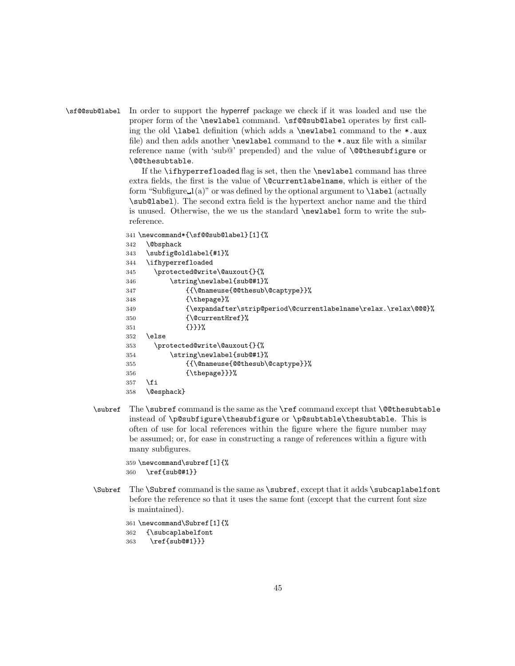#### \sf@@sub@label In order to support the hyperref package we check if it was loaded and use the proper form of the \newlabel command. \sf@@sub@label operates by first calling the old  $\lambda$  definition (which adds a  $\neq$  label command to the  $\ast$ .aux file) and then adds another \newlabel command to the \*.aux file with a similar reference name (with 'sub@' prepended) and the value of \@@thesubfigure or \@@thesubtable.

If the \ifhyperrefloaded flag is set, then the \newlabel command has three extra fields, the first is the value of \@currentlabelname, which is either of the form "Subfigure  $1(a)$ " or was defined by the optional argument to **\label** (actually \sub@label). The second extra field is the hypertext anchor name and the third is unused. Otherwise, the we us the standard \newlabel form to write the subreference.

```
341 \newcommand*{\sf@@sub@label}[1]{%
       342 \@bsphack
      343 \subfig@oldlabel{#1}%
      344 \ifhyperrefloaded
      345 \protected@write\@auxout{}{%
      346 \string\newlabel{sub@#1}%
       347 {{\@nameuse{@@thesub\@captype}}%
       348 {\thepage}%
      349 {\expandafter\strip@period\@currentlabelname\relax.\relax\@@@}%
      350 {\@currentHref}%
      351 {}}}%
      352 \else
       353 \protected@write\@auxout{}{%
       354 \string\newlabel{sub@#1}%
       355 {{\@nameuse{@@thesub\@captype}}%
       356 {\thepage}}}%
       357 \fi
      358 \@esphack}
\subref The \subref command is the same as the \ref command except that \@@thesubtable
```
instead of \p@subfigure\thesubfigure or \p@subtable\thesubtable. This is often of use for local references within the figure where the figure number may be assumed; or, for ease in constructing a range of references within a figure with many subfigures.

```
359 \newcommand\subref[1]{%
360 \ref{sub@#1}}
```
\Subref The \Subref command is the same as \subref, except that it adds \subcaplabelfont before the reference so that it uses the same font (except that the current font size is maintained).

```
361 \newcommand\Subref[1]{%
362 {\subcaplabelfont
363 \ref{sub@#1}}}
```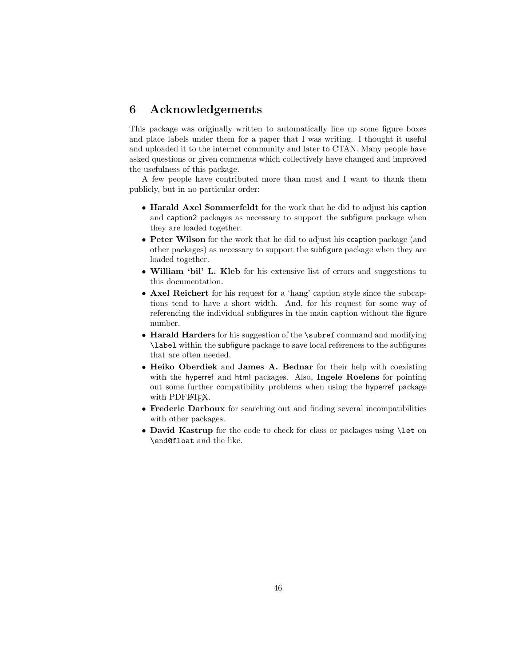### 6 Acknowledgements

This package was originally written to automatically line up some figure boxes and place labels under them for a paper that I was writing. I thought it useful and uploaded it to the internet community and later to CTAN. Many people have asked questions or given comments which collectively have changed and improved the usefulness of this package.

A few people have contributed more than most and I want to thank them publicly, but in no particular order:

- Harald Axel Sommerfeldt for the work that he did to adjust his caption and caption2 packages as necessary to support the subfigure package when they are loaded together.
- Peter Wilson for the work that he did to adjust his ccaption package (and other packages) as necessary to support the subfigure package when they are loaded together.
- William 'bil' L. Kleb for his extensive list of errors and suggestions to this documentation.
- Axel Reichert for his request for a 'hang' caption style since the subcaptions tend to have a short width. And, for his request for some way of referencing the individual subfigures in the main caption without the figure number.
- Harald Harders for his suggestion of the \subref command and modifying \label within the subfigure package to save local references to the subfigures that are often needed.
- Heiko Oberdiek and James A. Bednar for their help with coexisting with the hyperref and html packages. Also, **Ingele Roelens** for pointing out some further compatibility problems when using the hyperref package with PDFL<sup>AT</sup>FX.
- Frederic Darboux for searching out and finding several incompatibilities with other packages.
- David Kastrup for the code to check for class or packages using \let on \end@float and the like.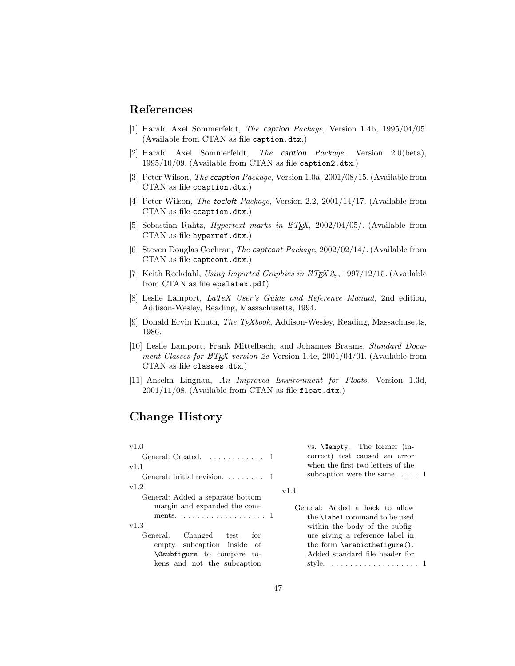# References

- [1] Harald Axel Sommerfeldt, The caption Package, Version 1.4b, 1995/04/05. (Available from CTAN as file caption.dtx.)
- [2] Harald Axel Sommerfeldt, The caption Package, Version 2.0(beta), 1995/10/09. (Available from CTAN as file caption2.dtx.)
- [3] Peter Wilson, The ccaption Package, Version 1.0a, 2001/08/15. (Available from CTAN as file ccaption.dtx.)
- [4] Peter Wilson, The tocloft Package, Version 2.2, 2001/14/17. (Available from CTAN as file ccaption.dtx.)
- [5] Sebastian Rahtz, *Hypertext marks in*  $BTEX$ *, 2002/04/05/*. (Available from CTAN as file hyperref.dtx.)
- [6] Steven Douglas Cochran, The captcont Package, 2002/02/14/. (Available from CTAN as file captcont.dtx.)
- [7] Keith Reckdahl, Using Imported Graphics in  $\cancel{B}T_F X \mathcal{Z}_{\epsilon}$ , 1997/12/15. (Available from CTAN as file epslatex.pdf)
- [8] Leslie Lamport, LaTeX User's Guide and Reference Manual, 2nd edition, Addison-Wesley, Reading, Massachusetts, 1994.
- [9] Donald Ervin Knuth, *The T<sub>E</sub>Xbook*, Addison-Wesley, Reading, Massachusetts, 1986.
- [10] Leslie Lamport, Frank Mittelbach, and Johannes Braams, Standard Document Classes for  $\cancel{B}TEX$  version 2e Version 1.4e, 2001/04/01. (Available from CTAN as file classes.dtx.)
- [11] Anselm Lingnau, An Improved Environment for Floats. Version 1.3d,  $2001/11/08$ . (Available from CTAN as file float.dtx.)

## Change History

| v1.0                                                 | vs. <b>\@empty</b> . The former (in-                     |
|------------------------------------------------------|----------------------------------------------------------|
| General: Created. 1                                  | correct) test caused an error                            |
| v1.1                                                 | when the first two letters of the                        |
| General: Initial revision. $\ldots \ldots$ 1         | subcaption were the same $1$                             |
| v1.2                                                 | v1.4                                                     |
| General: Added a separate bottom                     |                                                          |
| margin and expanded the com-                         | General: Added a hack to allow                           |
| ments. $\dots \dots \dots \dots \dots \dots \dots 1$ | the <b>\label</b> command to be used                     |
| v1.3                                                 | within the body of the subfig-                           |
| General:<br>Changed test<br>for                      | ure giving a reference label in                          |
| empty subcaption inside of                           | the form $\arab{thefigure}$ .                            |
| <b>\@subfigure</b> to compare to-                    | Added standard file header for                           |
| kens and not the subcaption                          | style. $\dots \dots \dots \dots \dots \dots \dots \dots$ |
|                                                      |                                                          |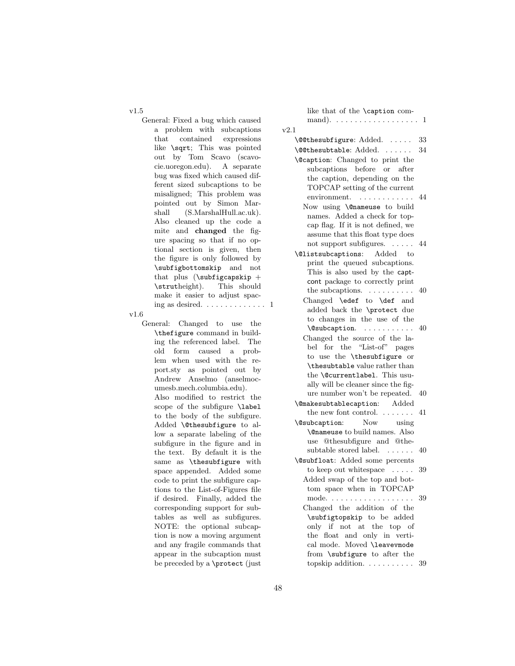v1.5

General: Fixed a bug which caused a problem with subcaptions that contained expressions like \sqrt; This was pointed out by Tom Scavo (scavocie.uoregon.edu). A separate bug was fixed which caused different sized subcaptions to be misaligned; This problem was pointed out by Simon Marshall (S.MarshalHull.ac.uk). Also cleaned up the code a mite and changed the figure spacing so that if no optional section is given, then the figure is only followed by \subfigbottomskip and not that plus  $(\such{e}$ \strutheight). This should make it easier to adjust spacing as desired.  $\dots \dots \dots \dots 1$ 

v1.6

General: Changed to use the \thefigure command in building the referenced label. The old form caused a problem when used with the report.sty as pointed out by Andrew Anselmo (anselmocumesb.mech.columbia.edu).

Also modified to restrict the scope of the subfigure \label to the body of the subfigure. Added \@thesubfigure to allow a separate labeling of the subfigure in the figure and in the text. By default it is the same as \thesubfigure with space appended. Added some code to print the subfigure captions to the List-of-Figures file if desired. Finally, added the corresponding support for subtables as well as subfigures. NOTE: the optional subcaption is now a moving argument and any fragile commands that appear in the subcaption must be preceded by a \protect (just

| like that of the \caption com-                                     |     |
|--------------------------------------------------------------------|-----|
| mand). $\dots \dots \dots \dots \dots \dots \dots \dots$           |     |
| v2.1                                                               |     |
| \@@thesubfigure: Added.                                            | 33  |
| \@@thesubtable: Added.                                             | 34  |
| \@caption: Changed to print the                                    |     |
| subcaptions before or<br>after                                     |     |
| the caption, depending on the                                      |     |
| TOPCAP setting of the current                                      |     |
| $\text{environment.} \quad \ldots \ldots \ldots$                   | 44  |
| Now using \@nameuse to build                                       |     |
| names. Added a check for top-                                      |     |
| cap flag. If it is not defined, we                                 |     |
| assume that this float type does                                   |     |
| not support subfigures.<br>$\mathbf{r}$                            | 44  |
| <b>\@listsubcaptions:</b> Added to                                 |     |
| print the queued subcaptions.                                      |     |
| This is also used by the capt-                                     |     |
| cont package to correctly print                                    |     |
| the subcaptions. $\ldots \ldots \ldots$                            | -40 |
| Changed \edef to \def and                                          |     |
| added back the \protect due                                        |     |
| to changes in the use of the                                       |     |
| \@subcaption.                                                      | 40  |
| Changed the source of the la-                                      |     |
| bel for the "List-of" pages                                        |     |
| to use the \thesubfigure or                                        |     |
| \thesubtable value rather than                                     |     |
| the \@currentlabel. This usu-                                      |     |
| ally will be cleaner since the fig-                                |     |
| ure number won't be repeated.                                      | 40  |
| \@makesubtablecaption: Added                                       |     |
| the new font control. $\dots \dots$                                | 41  |
| <b>Now</b><br>\@subcaption:<br>using                               |     |
| <b>\@nameuse</b> to build names. Also                              |     |
| use @thesubfigure and @the-<br>subtable stored label. $\dots$      |     |
|                                                                    | 40  |
| \@subfloat: Added some percents                                    |     |
| to keep out white space $\ldots$ .                                 | 39  |
| Added swap of the top and bot-                                     |     |
| tom space when in TOPCAP<br>mode.                                  | 39  |
| $\cdots$<br>$\sim 100$ km s $^{-1}$<br>Changed the addition of the |     |
| \subfigtopskip to be added                                         |     |
| only if not at<br>the top of                                       |     |
| the<br>float and only in verti-                                    |     |
| cal mode. Moved \leavevmode                                        |     |
| from \subfigure to after the                                       |     |
| topskip addition.                                                  | 39  |
|                                                                    |     |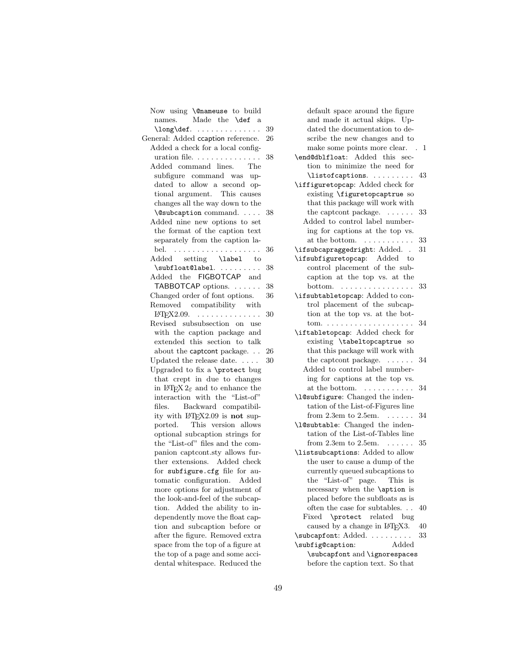Now using \@nameuse to build names. Made the \def a \long\def. . . . . . . . . . . . . . . 39 General: Added ccaption reference. 26 Added a check for a local configuration file. . . . . . . . . . . . . . . 38 Added command lines. The subfigure command was updated to allow a second optional argument. This causes changes all the way down to the \@subcaption command. . . . . 38 Added nine new options to set the format of the caption text separately from the caption label. . . . . . . . . . . . . . . . . . . . 36 Added setting \label to \subfloat@label. . . . . . . . . . 38 Added the FIGBOTCAP and TABBOTCAP options. . . . . . . 38 Changed order of font options. 36 Removed compatibility with  $IFT$ <sub>F</sub>X2.09. . . . . . . . . . . . . . . 30 Revised subsubsection on use with the caption package and extended this section to talk about the captcont package. . . 26 Updated the release date.  $\dots$  .  $30$ Upgraded to fix a \protect bug that crept in due to changes in  $\mathbb{F} \mathbb{F} \times \mathbb{Z}$  and to enhance the interaction with the "List-of" files. Backward compatibility with  $LFT<sub>E</sub>X2.09$  is **not** sup-<br>ported. This version allows This version allows optional subcaption strings for the "List-of" files and the companion captcont.sty allows further extensions. Added check for subfigure.cfg file for automatic configuration. Added more options for adjustment of the look-and-feel of the subcaption. Added the ability to independently move the float caption and subcaption before or after the figure. Removed extra space from the top of a figure at the top of a page and some accidental whitespace. Reduced the

default space around the figure and made it actual skips. Updated the documentation to describe the new changes and to make some points more clear. . 1 \end@dblfloat: Added this section to minimize the need for \listofcaptions. . . . . . . . . 43 \iffiguretopcap: Added check for existing \figuretopcaptrue so that this package will work with the captcont package. . . . . . . 33 Added to control label numbering for captions at the top vs. at the bottom.  $\dots \dots \dots 33$ \ifsubcapraggedright: Added. . 31 \ifsubfiguretopcap: Added to control placement of the subcaption at the top vs. at the bottom. . . . . . . . . . . . . . . . . 33 \ifsubtabletopcap: Added to control placement of the subcaption at the top vs. at the bottom. . . . . . . . . . . . . . . . . . . . 34 \iftabletopcap: Added check for existing \tabeltopcaptrue so that this package will work with the captcont package. . . . . . . 34 Added to control label numbering for captions at the top vs. at the bottom.  $\dots \dots \dots 34$ \l@subfigure: Changed the indentation of the List-of-Figures line from 2.3em to 2.5em.  $\ldots \ldots$  34 \l@subtable: Changed the indentation of the List-of-Tables line from 2.3em to 2.5em. . . . . . . 35 \listsubcaptions: Added to allow the user to cause a dump of the currently queued subcaptions to the "List-of" page. This is necessary when the \aption is placed before the subfloats as is often the case for subtables. . . 40 Fixed \protect related bug caused by a change in L<sup>AT</sup>EX3. 40<br>bcapfont: Added \subcapfont: Added. . . . . . . . . . \subfig@caption: Added \subcapfont and \ignorespaces before the caption text. So that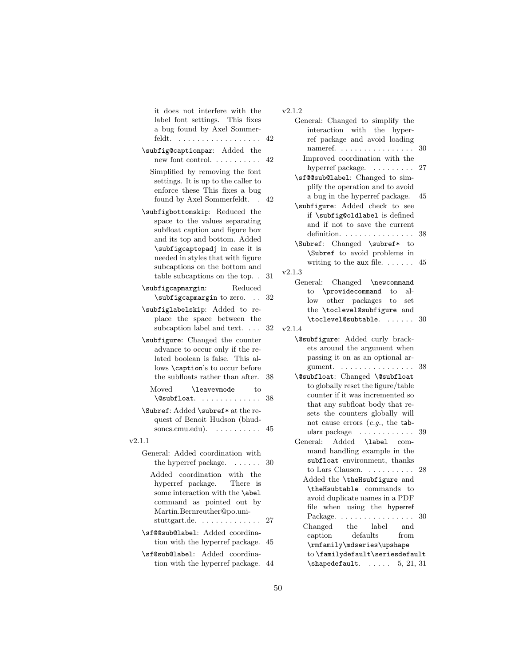it does not interfere with the label font settings. This fixes a bug found by Axel Sommerfeldt. . . . . . . . . . . . . . . . . . . 42

- \subfig@captionpar: Added the new font control. . . . . . . . . . . 42
	- Simplified by removing the font settings. It is up to the caller to enforce these This fixes a bug found by Axel Sommerfeldt. . 42

\subfigbottomskip: Reduced the space to the values separating subfloat caption and figure box and its top and bottom. Added \subfigcaptopadj in case it is needed in styles that with figure subcaptions on the bottom and table subcaptions on the top. . 31

- \subfigcapmargin: Reduced \subfigcapmargin to zero. . . 32
- \subfiglabelskip: Added to replace the space between the subcaption label and text. . . . 32

\subfigure: Changed the counter advance to occur only if the related boolean is false. This allows \caption's to occur before the subfloats rather than after. 38

| Moved       | <i>leavevmode</i> |   |  |  |  |  |  | tο |    |
|-------------|-------------------|---|--|--|--|--|--|----|----|
| \@subfloat. |                   | . |  |  |  |  |  |    | 38 |

\Subref: Added \subref\* at the request of Benoit Hudson (bhudsoncs.cmu.edu). . . . . . . . . . . 45

v2.1.1

General: Added coordination with the hyperref package.  $\ldots \ldots 30$ Added coordination with the hyperref package. There is some interaction with the \abel command as pointed out by Martin.Bernreuther@po.unistuttgart.de. . . . . . . . . . . . . . 27 \sf@@sub@label: Added coordina-

tion with the hyperref package. 45 \sf@sub@label: Added coordina-

tion with the hyperref package. 44

#### v2.1.2

| General: Changed to simplify the                 |    |
|--------------------------------------------------|----|
| interaction with the hyper-                      |    |
| ref package and avoid loading                    |    |
| nameref. $\ldots \ldots \ldots \ldots \ldots 30$ |    |
| Improved coordination with the                   |    |
| hyperref package.                                | 27 |
| \sf@@sub@label: Changed to sim-                  |    |
| plify the operation and to avoid                 |    |
| a bug in the hyperref package.                   | 45 |
| \subfigure: Added check to see                   |    |
| if \subfig@oldlabel is defined                   |    |
| and if not to save the current                   |    |
| definition.                                      | 38 |
| \Subref: Changed \subref* to                     |    |
| \Subref to avoid problems in                     |    |
| writing to the aux file. $\dots$ .               | 45 |
| v2.1.3                                           |    |
| General: Changed \newcommand                     |    |
| to \providecommand to<br>al-                     |    |
| $\log$<br>other packages to<br>set               |    |
| the \toclevel@subfigure and                      |    |
| \toclevel@subtable.<br>. 30                      |    |
| v2.1.4                                           |    |
| \@subfigure: Added curly brack-                  |    |
| ets around the argument when                     |    |
| passing it on as an optional ar-                 |    |
| gument. $\ldots \ldots \ldots \ldots$            | 38 |
| \@subfloat: Changed \@subfloat                   |    |
| to globally reset the figure/table               |    |
| counter if it was incremented so                 |    |
| that any subfloat body that re-                  |    |
| sets the counters globally will                  |    |
| not cause errors $(e.g., the tab-$               |    |
| ularx package $\dots \dots \dots$                | 39 |
| Added<br>General:<br>\label com-                 |    |
| mand handling example in the                     |    |
| subfloat environment, thanks                     |    |
| to Lars Clausen. $\ldots \ldots \ldots$          | 28 |
| Added the \theHsubfigure and                     |    |
| \theHsubtable commands to                        |    |
| avoid duplicate names in a PDF                   |    |
| file<br>using the hyperref<br>when               |    |
| Package.<br>$\bullet$                            | 30 |
| label<br>Changed<br>the<br>and                   |    |
| defaults<br>from<br>caption                      |    |
| \rmfamily\mdseries\upshape                       |    |
| to \familydefault\seriesdefault                  |    |
| $\lambda$ shapedefault.  5, 21, 31               |    |
|                                                  |    |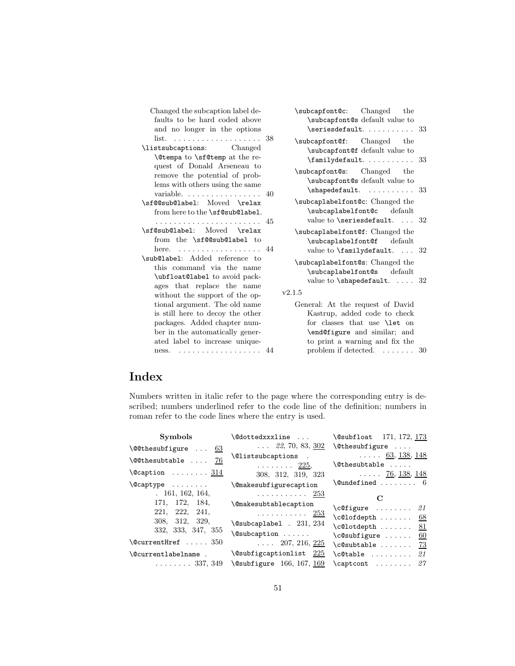| Changed the subcaption label de-<br>faults to be hard coded above                                                                                                                                                                                                | \subcapfont@c: Changed the<br>\subcapfont@s default value to                                                                                                                                                                 |  |
|------------------------------------------------------------------------------------------------------------------------------------------------------------------------------------------------------------------------------------------------------------------|------------------------------------------------------------------------------------------------------------------------------------------------------------------------------------------------------------------------------|--|
| and no longer in the options                                                                                                                                                                                                                                     | $\setminus$ seriesdefault.  33                                                                                                                                                                                               |  |
| list. $\ldots \ldots \ldots \ldots \ldots \ldots \ldots 38$<br>\listsubcaptions: Changed<br><b>\@tempa</b> to <b>\sf@temp</b> at the re-                                                                                                                         | \subcapfont@f: Changed the<br>\subcapfont@f default value to<br>$\{\text{amilydefault.} \dots \dots \ 33\}$                                                                                                                  |  |
| quest of Donald Arseneau to<br>remove the potential of prob-<br>lems with others using the same                                                                                                                                                                  | \subcapfont@s: Changed the<br>\subcapfont@s default value to<br>$\verb \shapedefault.    33 $                                                                                                                                |  |
| \sf@@sub@label: Moved \relax<br>from here to the \sf@sub@label.                                                                                                                                                                                                  | \subcaplabelfont@c: Changed the<br>\subcaplabelfont@c default<br>value to \seriesdefault.  32                                                                                                                                |  |
| \sf@sub@label: Moved \relax<br>from the \sf@@sub@label to<br>here. $\ldots \ldots \ldots \ldots \ldots$                                                                                                                                                          | \subcaplabelfont@f: Changed the<br>\subcaplabelfont@f default<br>value to $\tt{amilydefault.} \ldots 32$                                                                                                                     |  |
| \sub@label: Added reference to<br>this command via the name<br>\ubfloat@label to avoid pack-<br>ages that replace the name                                                                                                                                       | \subcaplabelfont@s: Changed the<br>\subcaplabelfont@s default<br>value to $\simeq$ shapedefault.  32                                                                                                                         |  |
| without the support of the op-<br>tional argument. The old name<br>is still here to decoy the other<br>packages. Added chapter num-<br>ber in the automatically gener-<br>ated label to increase unique-<br>ness. $\ldots \ldots \ldots \ldots \ldots \ldots$ 44 | v2.1.5<br>General: At the request of David<br>Kastrup, added code to check<br>for classes that use <b>\let</b> on<br>\end@figure and similar; and<br>to print a warning and fix the<br>problem if detected. $\dots \dots 30$ |  |

# Index

Numbers written in italic refer to the page where the corresponding entry is described; numbers underlined refer to the code line of the definition; numbers in roman refer to the code lines where the entry is used.

| Symbols                                                                                       | \@dottedxxxline                                                                                          | \@subfloat 171, 172, 173                                                                                              |
|-----------------------------------------------------------------------------------------------|----------------------------------------------------------------------------------------------------------|-----------------------------------------------------------------------------------------------------------------------|
| $\text{Q@the}$ subfigure  63                                                                  | $\ldots$ 22, 70, 83, 302                                                                                 | $\text{Otherwise} \dots$                                                                                              |
| $\text{Q@thesubtable}$ $76$                                                                   | \@listsubcaptions .<br>$\ldots \ldots 225,$                                                              | $\ldots$ 63, 138, 148<br>\@thesubtable                                                                                |
| $\text{Ccaption} \dots \dots \frac{314}{11}$                                                  | 308, 312, 319, 323                                                                                       | $\ldots$ 76, 138, 148                                                                                                 |
| $\text{Captype} \dots \dots$                                                                  | <i><u><b>\@makesubfigurecaption</b></u></i>                                                              | $\text{Qundefined} \dots \dots \dots \ 6$                                                                             |
| 161, 162, 164,<br>171, 172, 184,<br>221, 222, 241,<br>308, 312,<br>329,<br>332, 333, 347, 355 | . <u>253</u><br><b>\@makesubtablecaption</b><br>. <u>253</u><br>\@subcaplabel . 231, 234<br>\@subcaption | $\mathbf C$<br>$\c{Cefigure \ldots 21}$<br>$\c0$ lofdepth<br>- 68<br>$\c0$ lotdepth<br>81<br>$\cosh f = \ldots$<br>60 |
| $\verb+\@currentHref \ . 350$                                                                 | $\ldots$ 207, 216, 225                                                                                   | $\cosh$ 73                                                                                                            |
| \@currentlabelname .<br>. 337, 349                                                            | \@subfigcaptionlist $225$<br>$\text{Qsubfigure}$ 166, 167, 169                                           | 21<br>$\c{$ Ctable<br>$\texttt{\textbackslash} \texttt{caption} \dots \dots \texttt{\$27$}$                           |